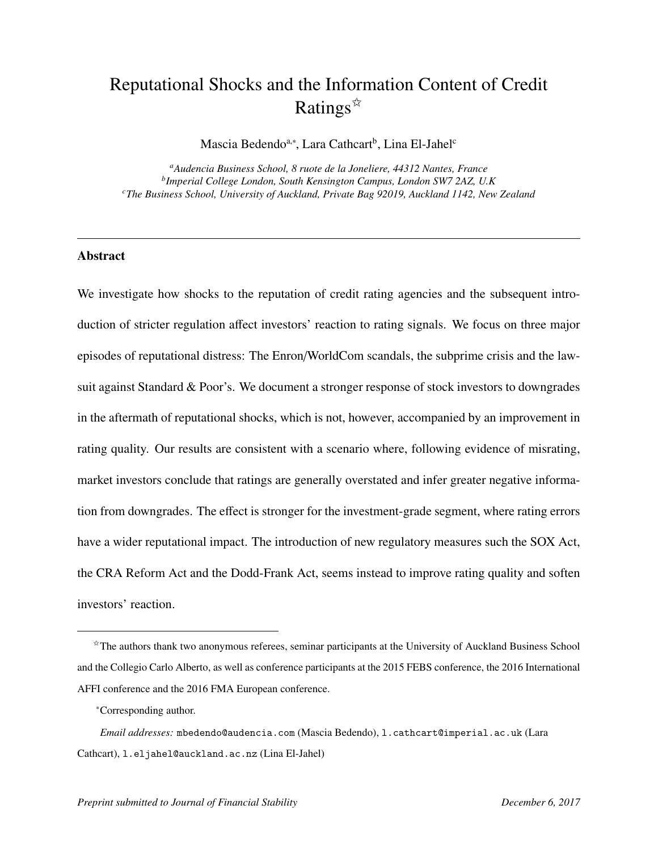# Reputational Shocks and the Information Content of Credit Ratings $\mathbb{\hat{R}}$

Mascia Bedendo<sup>a,∗</sup>, Lara Cathcart<sup>b</sup>, Lina El-Jahel<sup>c</sup>

*<sup>a</sup>Audencia Business School, 8 ruote de la Joneliere, 44312 Nantes, France b Imperial College London, South Kensington Campus, London SW7 2AZ, U.K <sup>c</sup>The Business School, University of Auckland, Private Bag 92019, Auckland 1142, New Zealand*

## Abstract

We investigate how shocks to the reputation of credit rating agencies and the subsequent introduction of stricter regulation affect investors' reaction to rating signals. We focus on three major episodes of reputational distress: The Enron/WorldCom scandals, the subprime crisis and the lawsuit against Standard & Poor's. We document a stronger response of stock investors to downgrades in the aftermath of reputational shocks, which is not, however, accompanied by an improvement in rating quality. Our results are consistent with a scenario where, following evidence of misrating, market investors conclude that ratings are generally overstated and infer greater negative information from downgrades. The effect is stronger for the investment-grade segment, where rating errors have a wider reputational impact. The introduction of new regulatory measures such the SOX Act, the CRA Reform Act and the Dodd-Frank Act, seems instead to improve rating quality and soften investors' reaction.

 $\hat{\tau}$ The authors thank two anonymous referees, seminar participants at the University of Auckland Business School and the Collegio Carlo Alberto, as well as conference participants at the 2015 FEBS conference, the 2016 International AFFI conference and the 2016 FMA European conference.

<sup>∗</sup>Corresponding author.

*Email addresses:* mbedendo@audencia.com (Mascia Bedendo), l.cathcart@imperial.ac.uk (Lara Cathcart), l.eljahel@auckland.ac.nz (Lina El-Jahel)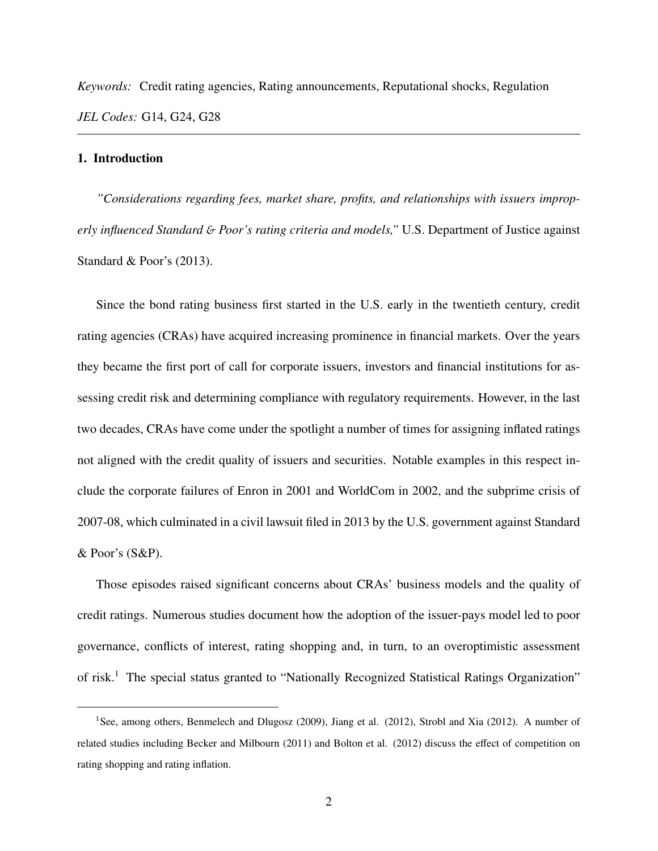*Keywords:* Credit rating agencies, Rating announcements, Reputational shocks, Regulation *JEL Codes:* G14, G24, G28

#### 1. Introduction

*"Considerations regarding fees, market share, profits, and relationships with issuers improperly influenced Standard* & *Poor's rating criteria and models,"* U.S. Department of Justice against Standard & Poor's (2013).

Since the bond rating business first started in the U.S. early in the twentieth century, credit rating agencies (CRAs) have acquired increasing prominence in financial markets. Over the years they became the first port of call for corporate issuers, investors and financial institutions for assessing credit risk and determining compliance with regulatory requirements. However, in the last two decades, CRAs have come under the spotlight a number of times for assigning inflated ratings not aligned with the credit quality of issuers and securities. Notable examples in this respect include the corporate failures of Enron in 2001 and WorldCom in 2002, and the subprime crisis of 2007-08, which culminated in a civil lawsuit filed in 2013 by the U.S. government against Standard & Poor's (S&P).

Those episodes raised significant concerns about CRAs' business models and the quality of credit ratings. Numerous studies document how the adoption of the issuer-pays model led to poor governance, conflicts of interest, rating shopping and, in turn, to an overoptimistic assessment of risk.<sup>1</sup> The special status granted to "Nationally Recognized Statistical Ratings Organization"

<sup>&</sup>lt;sup>1</sup>See, among others, Benmelech and Dlugosz (2009), Jiang et al. (2012), Strobl and Xia (2012). A number of related studies including Becker and Milbourn (2011) and Bolton et al. (2012) discuss the effect of competition on rating shopping and rating inflation.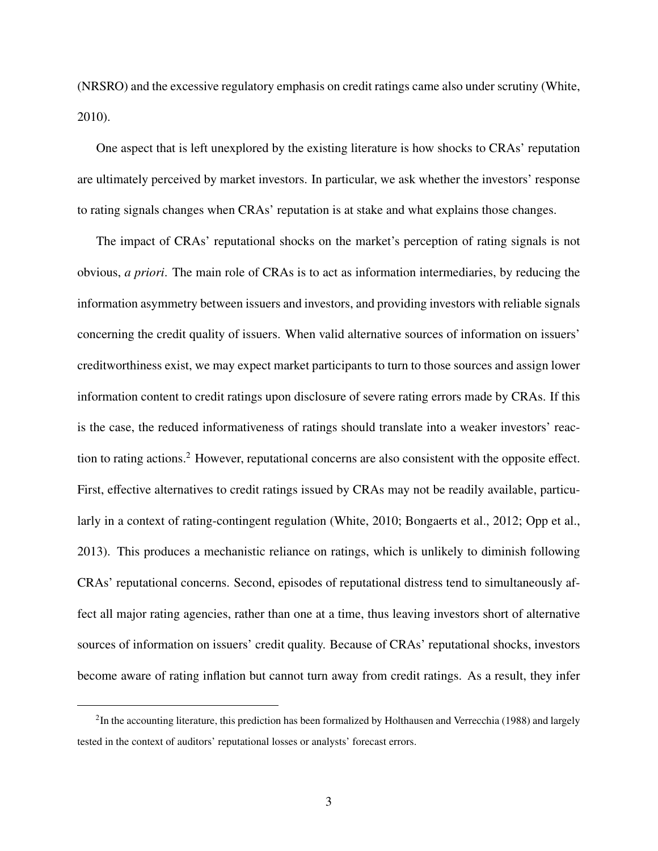(NRSRO) and the excessive regulatory emphasis on credit ratings came also under scrutiny (White, 2010).

One aspect that is left unexplored by the existing literature is how shocks to CRAs' reputation are ultimately perceived by market investors. In particular, we ask whether the investors' response to rating signals changes when CRAs' reputation is at stake and what explains those changes.

The impact of CRAs' reputational shocks on the market's perception of rating signals is not obvious, *a priori*. The main role of CRAs is to act as information intermediaries, by reducing the information asymmetry between issuers and investors, and providing investors with reliable signals concerning the credit quality of issuers. When valid alternative sources of information on issuers' creditworthiness exist, we may expect market participants to turn to those sources and assign lower information content to credit ratings upon disclosure of severe rating errors made by CRAs. If this is the case, the reduced informativeness of ratings should translate into a weaker investors' reaction to rating actions.<sup>2</sup> However, reputational concerns are also consistent with the opposite effect. First, effective alternatives to credit ratings issued by CRAs may not be readily available, particularly in a context of rating-contingent regulation (White, 2010; Bongaerts et al., 2012; Opp et al., 2013). This produces a mechanistic reliance on ratings, which is unlikely to diminish following CRAs' reputational concerns. Second, episodes of reputational distress tend to simultaneously affect all major rating agencies, rather than one at a time, thus leaving investors short of alternative sources of information on issuers' credit quality. Because of CRAs' reputational shocks, investors become aware of rating inflation but cannot turn away from credit ratings. As a result, they infer

 ${}^{2}$ In the accounting literature, this prediction has been formalized by Holthausen and Verrecchia (1988) and largely tested in the context of auditors' reputational losses or analysts' forecast errors.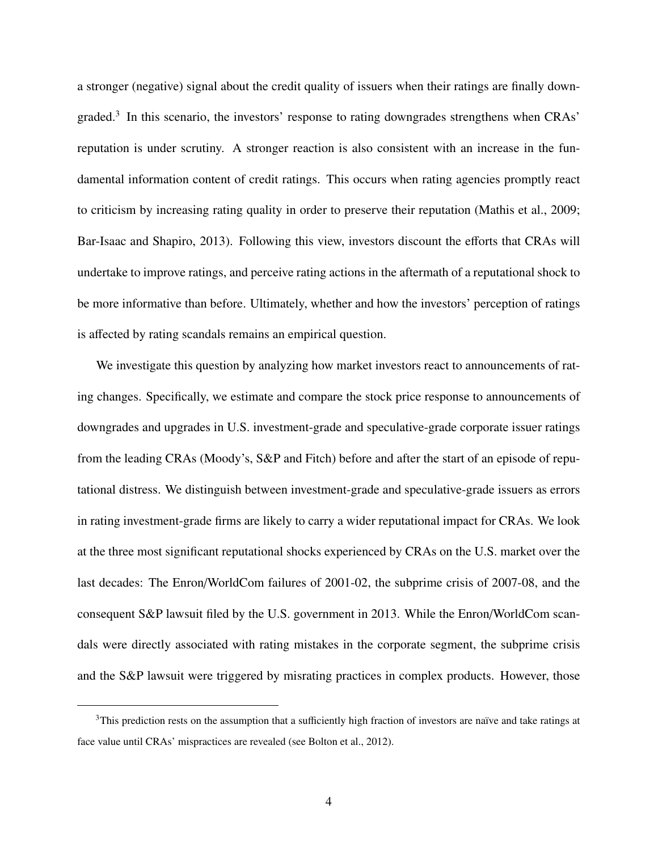a stronger (negative) signal about the credit quality of issuers when their ratings are finally downgraded.<sup>3</sup> In this scenario, the investors' response to rating downgrades strengthens when CRAs' reputation is under scrutiny. A stronger reaction is also consistent with an increase in the fundamental information content of credit ratings. This occurs when rating agencies promptly react to criticism by increasing rating quality in order to preserve their reputation (Mathis et al., 2009; Bar-Isaac and Shapiro, 2013). Following this view, investors discount the efforts that CRAs will undertake to improve ratings, and perceive rating actions in the aftermath of a reputational shock to be more informative than before. Ultimately, whether and how the investors' perception of ratings is affected by rating scandals remains an empirical question.

We investigate this question by analyzing how market investors react to announcements of rating changes. Specifically, we estimate and compare the stock price response to announcements of downgrades and upgrades in U.S. investment-grade and speculative-grade corporate issuer ratings from the leading CRAs (Moody's, S&P and Fitch) before and after the start of an episode of reputational distress. We distinguish between investment-grade and speculative-grade issuers as errors in rating investment-grade firms are likely to carry a wider reputational impact for CRAs. We look at the three most significant reputational shocks experienced by CRAs on the U.S. market over the last decades: The Enron/WorldCom failures of 2001-02, the subprime crisis of 2007-08, and the consequent S&P lawsuit filed by the U.S. government in 2013. While the Enron/WorldCom scandals were directly associated with rating mistakes in the corporate segment, the subprime crisis and the S&P lawsuit were triggered by misrating practices in complex products. However, those

 $3$ This prediction rests on the assumption that a sufficiently high fraction of investors are naïve and take ratings at face value until CRAs' mispractices are revealed (see Bolton et al., 2012).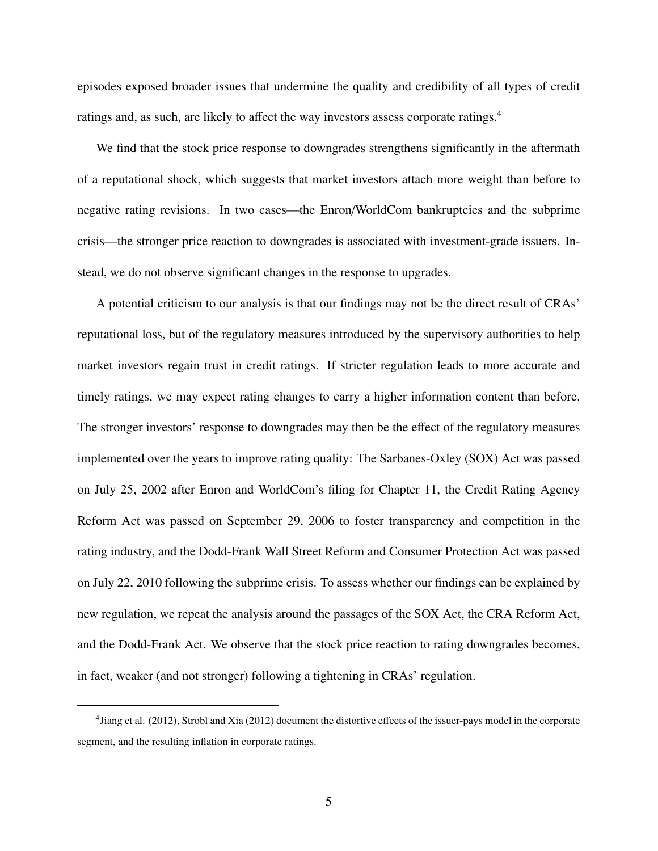episodes exposed broader issues that undermine the quality and credibility of all types of credit ratings and, as such, are likely to affect the way investors assess corporate ratings.<sup>4</sup>

We find that the stock price response to downgrades strengthens significantly in the aftermath of a reputational shock, which suggests that market investors attach more weight than before to negative rating revisions. In two cases—the Enron/WorldCom bankruptcies and the subprime crisis—the stronger price reaction to downgrades is associated with investment-grade issuers. Instead, we do not observe significant changes in the response to upgrades.

A potential criticism to our analysis is that our findings may not be the direct result of CRAs' reputational loss, but of the regulatory measures introduced by the supervisory authorities to help market investors regain trust in credit ratings. If stricter regulation leads to more accurate and timely ratings, we may expect rating changes to carry a higher information content than before. The stronger investors' response to downgrades may then be the effect of the regulatory measures implemented over the years to improve rating quality: The Sarbanes-Oxley (SOX) Act was passed on July 25, 2002 after Enron and WorldCom's filing for Chapter 11, the Credit Rating Agency Reform Act was passed on September 29, 2006 to foster transparency and competition in the rating industry, and the Dodd-Frank Wall Street Reform and Consumer Protection Act was passed on July 22, 2010 following the subprime crisis. To assess whether our findings can be explained by new regulation, we repeat the analysis around the passages of the SOX Act, the CRA Reform Act, and the Dodd-Frank Act. We observe that the stock price reaction to rating downgrades becomes, in fact, weaker (and not stronger) following a tightening in CRAs' regulation.

<sup>&</sup>lt;sup>4</sup> Jiang et al. (2012), Strobl and Xia (2012) document the distortive effects of the issuer-pays model in the corporate segment, and the resulting inflation in corporate ratings.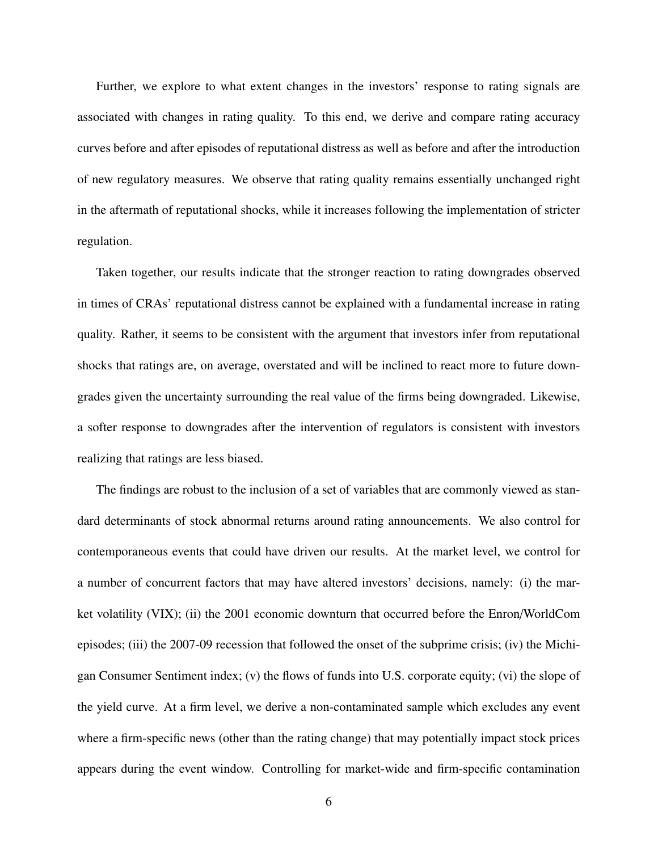Further, we explore to what extent changes in the investors' response to rating signals are associated with changes in rating quality. To this end, we derive and compare rating accuracy curves before and after episodes of reputational distress as well as before and after the introduction of new regulatory measures. We observe that rating quality remains essentially unchanged right in the aftermath of reputational shocks, while it increases following the implementation of stricter regulation.

Taken together, our results indicate that the stronger reaction to rating downgrades observed in times of CRAs' reputational distress cannot be explained with a fundamental increase in rating quality. Rather, it seems to be consistent with the argument that investors infer from reputational shocks that ratings are, on average, overstated and will be inclined to react more to future downgrades given the uncertainty surrounding the real value of the firms being downgraded. Likewise, a softer response to downgrades after the intervention of regulators is consistent with investors realizing that ratings are less biased.

The findings are robust to the inclusion of a set of variables that are commonly viewed as standard determinants of stock abnormal returns around rating announcements. We also control for contemporaneous events that could have driven our results. At the market level, we control for a number of concurrent factors that may have altered investors' decisions, namely: (i) the market volatility (VIX); (ii) the 2001 economic downturn that occurred before the Enron/WorldCom episodes; (iii) the 2007-09 recession that followed the onset of the subprime crisis; (iv) the Michigan Consumer Sentiment index; (v) the flows of funds into U.S. corporate equity; (vi) the slope of the yield curve. At a firm level, we derive a non-contaminated sample which excludes any event where a firm-specific news (other than the rating change) that may potentially impact stock prices appears during the event window. Controlling for market-wide and firm-specific contamination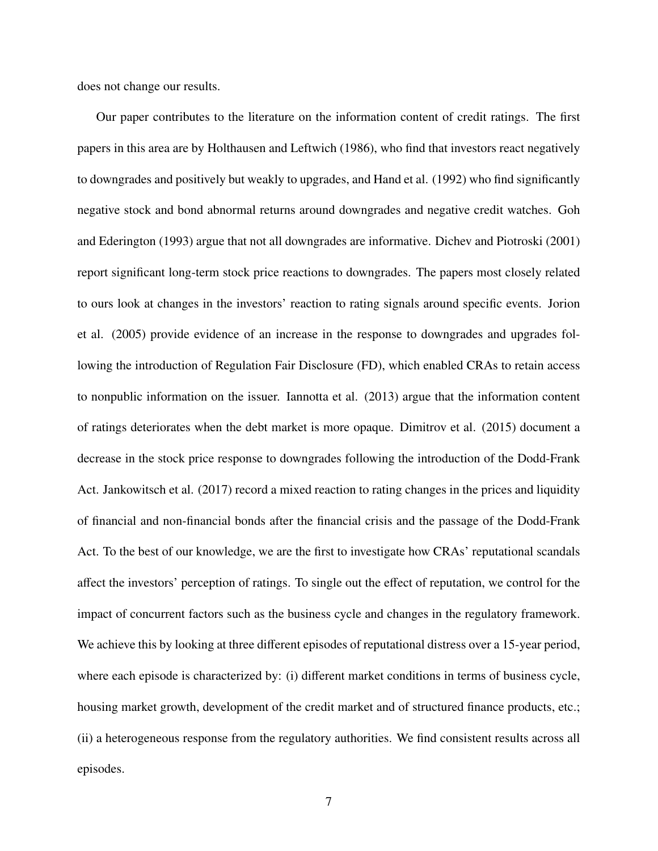does not change our results.

Our paper contributes to the literature on the information content of credit ratings. The first papers in this area are by Holthausen and Leftwich (1986), who find that investors react negatively to downgrades and positively but weakly to upgrades, and Hand et al. (1992) who find significantly negative stock and bond abnormal returns around downgrades and negative credit watches. Goh and Ederington (1993) argue that not all downgrades are informative. Dichev and Piotroski (2001) report significant long-term stock price reactions to downgrades. The papers most closely related to ours look at changes in the investors' reaction to rating signals around specific events. Jorion et al. (2005) provide evidence of an increase in the response to downgrades and upgrades following the introduction of Regulation Fair Disclosure (FD), which enabled CRAs to retain access to nonpublic information on the issuer. Iannotta et al. (2013) argue that the information content of ratings deteriorates when the debt market is more opaque. Dimitrov et al. (2015) document a decrease in the stock price response to downgrades following the introduction of the Dodd-Frank Act. Jankowitsch et al. (2017) record a mixed reaction to rating changes in the prices and liquidity of financial and non-financial bonds after the financial crisis and the passage of the Dodd-Frank Act. To the best of our knowledge, we are the first to investigate how CRAs' reputational scandals affect the investors' perception of ratings. To single out the effect of reputation, we control for the impact of concurrent factors such as the business cycle and changes in the regulatory framework. We achieve this by looking at three different episodes of reputational distress over a 15-year period, where each episode is characterized by: (i) different market conditions in terms of business cycle, housing market growth, development of the credit market and of structured finance products, etc.; (ii) a heterogeneous response from the regulatory authorities. We find consistent results across all episodes.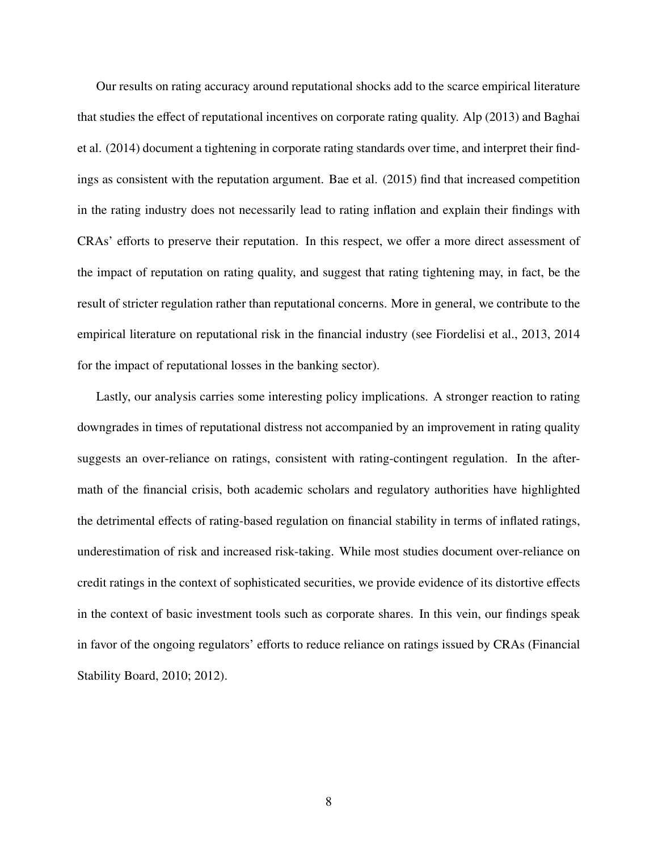Our results on rating accuracy around reputational shocks add to the scarce empirical literature that studies the effect of reputational incentives on corporate rating quality. Alp (2013) and Baghai et al. (2014) document a tightening in corporate rating standards over time, and interpret their findings as consistent with the reputation argument. Bae et al. (2015) find that increased competition in the rating industry does not necessarily lead to rating inflation and explain their findings with CRAs' efforts to preserve their reputation. In this respect, we offer a more direct assessment of the impact of reputation on rating quality, and suggest that rating tightening may, in fact, be the result of stricter regulation rather than reputational concerns. More in general, we contribute to the empirical literature on reputational risk in the financial industry (see Fiordelisi et al., 2013, 2014 for the impact of reputational losses in the banking sector).

Lastly, our analysis carries some interesting policy implications. A stronger reaction to rating downgrades in times of reputational distress not accompanied by an improvement in rating quality suggests an over-reliance on ratings, consistent with rating-contingent regulation. In the aftermath of the financial crisis, both academic scholars and regulatory authorities have highlighted the detrimental effects of rating-based regulation on financial stability in terms of inflated ratings, underestimation of risk and increased risk-taking. While most studies document over-reliance on credit ratings in the context of sophisticated securities, we provide evidence of its distortive effects in the context of basic investment tools such as corporate shares. In this vein, our findings speak in favor of the ongoing regulators' efforts to reduce reliance on ratings issued by CRAs (Financial Stability Board, 2010; 2012).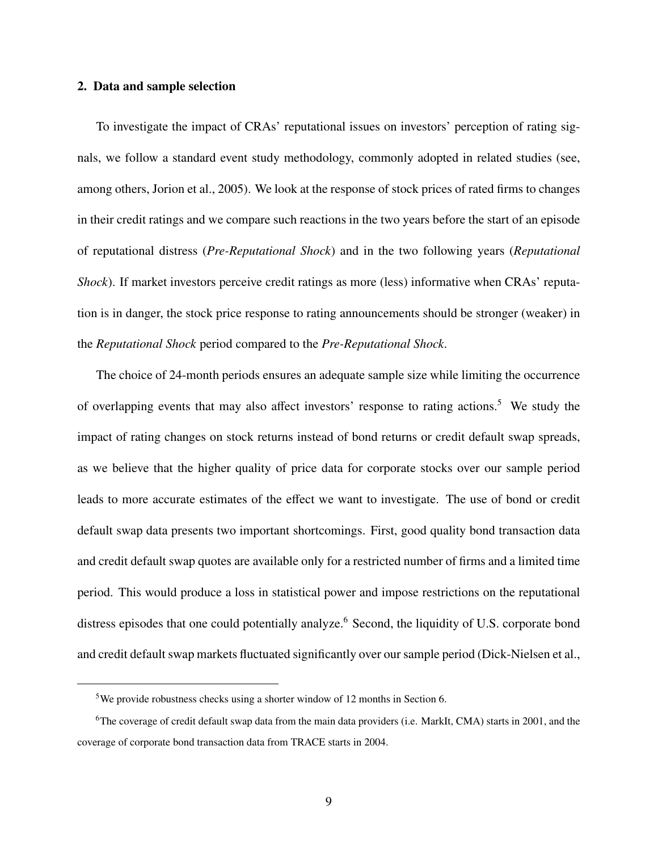### 2. Data and sample selection

To investigate the impact of CRAs' reputational issues on investors' perception of rating signals, we follow a standard event study methodology, commonly adopted in related studies (see, among others, Jorion et al., 2005). We look at the response of stock prices of rated firms to changes in their credit ratings and we compare such reactions in the two years before the start of an episode of reputational distress (*Pre-Reputational Shock*) and in the two following years (*Reputational Shock*). If market investors perceive credit ratings as more (less) informative when CRAs' reputation is in danger, the stock price response to rating announcements should be stronger (weaker) in the *Reputational Shock* period compared to the *Pre-Reputational Shock*.

The choice of 24-month periods ensures an adequate sample size while limiting the occurrence of overlapping events that may also affect investors' response to rating actions.<sup>5</sup> We study the impact of rating changes on stock returns instead of bond returns or credit default swap spreads, as we believe that the higher quality of price data for corporate stocks over our sample period leads to more accurate estimates of the effect we want to investigate. The use of bond or credit default swap data presents two important shortcomings. First, good quality bond transaction data and credit default swap quotes are available only for a restricted number of firms and a limited time period. This would produce a loss in statistical power and impose restrictions on the reputational distress episodes that one could potentially analyze.<sup>6</sup> Second, the liquidity of U.S. corporate bond and credit default swap markets fluctuated significantly over our sample period (Dick-Nielsen et al.,

<sup>5</sup>We provide robustness checks using a shorter window of 12 months in Section 6.

<sup>6</sup>The coverage of credit default swap data from the main data providers (i.e. MarkIt, CMA) starts in 2001, and the coverage of corporate bond transaction data from TRACE starts in 2004.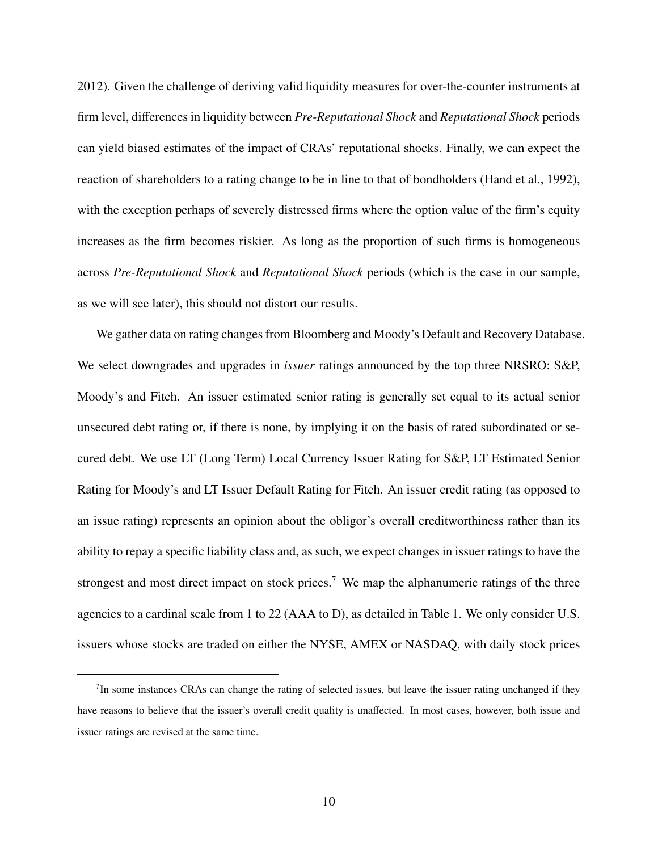2012). Given the challenge of deriving valid liquidity measures for over-the-counter instruments at firm level, differences in liquidity between *Pre-Reputational Shock* and *Reputational Shock* periods can yield biased estimates of the impact of CRAs' reputational shocks. Finally, we can expect the reaction of shareholders to a rating change to be in line to that of bondholders (Hand et al., 1992), with the exception perhaps of severely distressed firms where the option value of the firm's equity increases as the firm becomes riskier. As long as the proportion of such firms is homogeneous across *Pre-Reputational Shock* and *Reputational Shock* periods (which is the case in our sample, as we will see later), this should not distort our results.

We gather data on rating changes from Bloomberg and Moody's Default and Recovery Database. We select downgrades and upgrades in *issuer* ratings announced by the top three NRSRO: S&P, Moody's and Fitch. An issuer estimated senior rating is generally set equal to its actual senior unsecured debt rating or, if there is none, by implying it on the basis of rated subordinated or secured debt. We use LT (Long Term) Local Currency Issuer Rating for S&P, LT Estimated Senior Rating for Moody's and LT Issuer Default Rating for Fitch. An issuer credit rating (as opposed to an issue rating) represents an opinion about the obligor's overall creditworthiness rather than its ability to repay a specific liability class and, as such, we expect changes in issuer ratings to have the strongest and most direct impact on stock prices.<sup>7</sup> We map the alphanumeric ratings of the three agencies to a cardinal scale from 1 to 22 (AAA to D), as detailed in Table 1. We only consider U.S. issuers whose stocks are traded on either the NYSE, AMEX or NASDAQ, with daily stock prices

 $7$ In some instances CRAs can change the rating of selected issues, but leave the issuer rating unchanged if they have reasons to believe that the issuer's overall credit quality is unaffected. In most cases, however, both issue and issuer ratings are revised at the same time.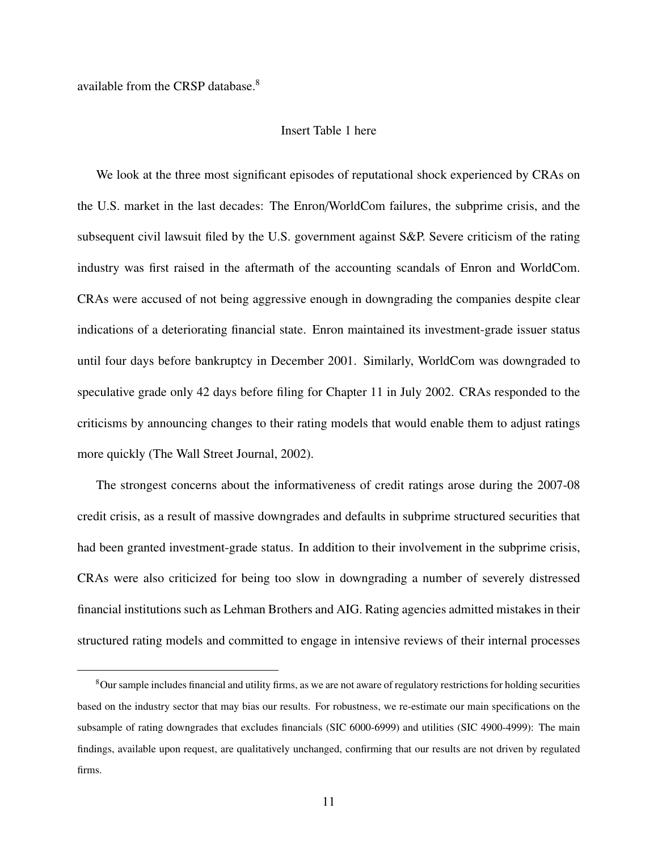available from the CRSP database.<sup>8</sup>

# Insert Table 1 here

We look at the three most significant episodes of reputational shock experienced by CRAs on the U.S. market in the last decades: The Enron/WorldCom failures, the subprime crisis, and the subsequent civil lawsuit filed by the U.S. government against S&P. Severe criticism of the rating industry was first raised in the aftermath of the accounting scandals of Enron and WorldCom. CRAs were accused of not being aggressive enough in downgrading the companies despite clear indications of a deteriorating financial state. Enron maintained its investment-grade issuer status until four days before bankruptcy in December 2001. Similarly, WorldCom was downgraded to speculative grade only 42 days before filing for Chapter 11 in July 2002. CRAs responded to the criticisms by announcing changes to their rating models that would enable them to adjust ratings more quickly (The Wall Street Journal, 2002).

The strongest concerns about the informativeness of credit ratings arose during the 2007-08 credit crisis, as a result of massive downgrades and defaults in subprime structured securities that had been granted investment-grade status. In addition to their involvement in the subprime crisis, CRAs were also criticized for being too slow in downgrading a number of severely distressed financial institutions such as Lehman Brothers and AIG. Rating agencies admitted mistakes in their structured rating models and committed to engage in intensive reviews of their internal processes

<sup>8</sup>Our sample includes financial and utility firms, as we are not aware of regulatory restrictions for holding securities based on the industry sector that may bias our results. For robustness, we re-estimate our main specifications on the subsample of rating downgrades that excludes financials (SIC 6000-6999) and utilities (SIC 4900-4999): The main findings, available upon request, are qualitatively unchanged, confirming that our results are not driven by regulated firms.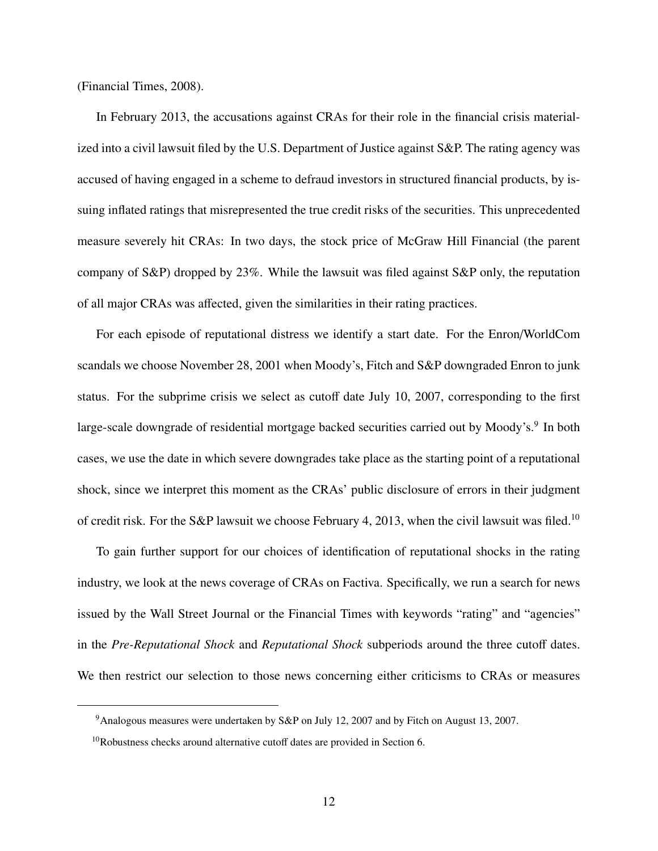(Financial Times, 2008).

In February 2013, the accusations against CRAs for their role in the financial crisis materialized into a civil lawsuit filed by the U.S. Department of Justice against S&P. The rating agency was accused of having engaged in a scheme to defraud investors in structured financial products, by issuing inflated ratings that misrepresented the true credit risks of the securities. This unprecedented measure severely hit CRAs: In two days, the stock price of McGraw Hill Financial (the parent company of S&P) dropped by 23%. While the lawsuit was filed against S&P only, the reputation of all major CRAs was affected, given the similarities in their rating practices.

For each episode of reputational distress we identify a start date. For the Enron/WorldCom scandals we choose November 28, 2001 when Moody's, Fitch and S&P downgraded Enron to junk status. For the subprime crisis we select as cutoff date July 10, 2007, corresponding to the first large-scale downgrade of residential mortgage backed securities carried out by Moody's.<sup>9</sup> In both cases, we use the date in which severe downgrades take place as the starting point of a reputational shock, since we interpret this moment as the CRAs' public disclosure of errors in their judgment of credit risk. For the S&P lawsuit we choose February 4, 2013, when the civil lawsuit was filed.<sup>10</sup>

To gain further support for our choices of identification of reputational shocks in the rating industry, we look at the news coverage of CRAs on Factiva. Specifically, we run a search for news issued by the Wall Street Journal or the Financial Times with keywords "rating" and "agencies" in the *Pre-Reputational Shock* and *Reputational Shock* subperiods around the three cutoff dates. We then restrict our selection to those news concerning either criticisms to CRAs or measures

<sup>9</sup>Analogous measures were undertaken by S&P on July 12, 2007 and by Fitch on August 13, 2007.

<sup>10</sup>Robustness checks around alternative cutoff dates are provided in Section 6.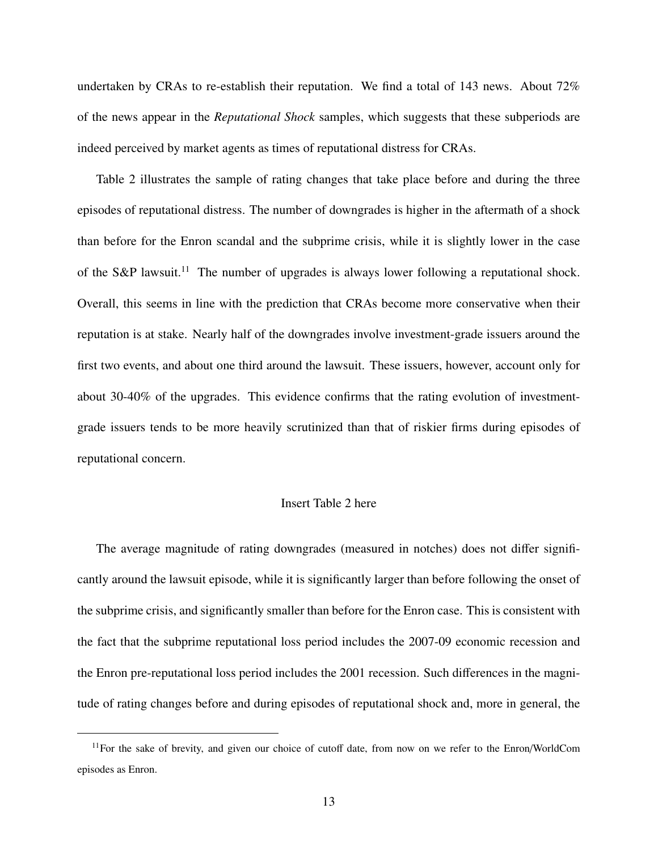undertaken by CRAs to re-establish their reputation. We find a total of 143 news. About 72% of the news appear in the *Reputational Shock* samples, which suggests that these subperiods are indeed perceived by market agents as times of reputational distress for CRAs.

Table 2 illustrates the sample of rating changes that take place before and during the three episodes of reputational distress. The number of downgrades is higher in the aftermath of a shock than before for the Enron scandal and the subprime crisis, while it is slightly lower in the case of the S&P lawsuit.<sup>11</sup> The number of upgrades is always lower following a reputational shock. Overall, this seems in line with the prediction that CRAs become more conservative when their reputation is at stake. Nearly half of the downgrades involve investment-grade issuers around the first two events, and about one third around the lawsuit. These issuers, however, account only for about 30-40% of the upgrades. This evidence confirms that the rating evolution of investmentgrade issuers tends to be more heavily scrutinized than that of riskier firms during episodes of reputational concern.

# Insert Table 2 here

The average magnitude of rating downgrades (measured in notches) does not differ significantly around the lawsuit episode, while it is significantly larger than before following the onset of the subprime crisis, and significantly smaller than before for the Enron case. This is consistent with the fact that the subprime reputational loss period includes the 2007-09 economic recession and the Enron pre-reputational loss period includes the 2001 recession. Such differences in the magnitude of rating changes before and during episodes of reputational shock and, more in general, the

<sup>&</sup>lt;sup>11</sup>For the sake of brevity, and given our choice of cutoff date, from now on we refer to the Enron/WorldCom episodes as Enron.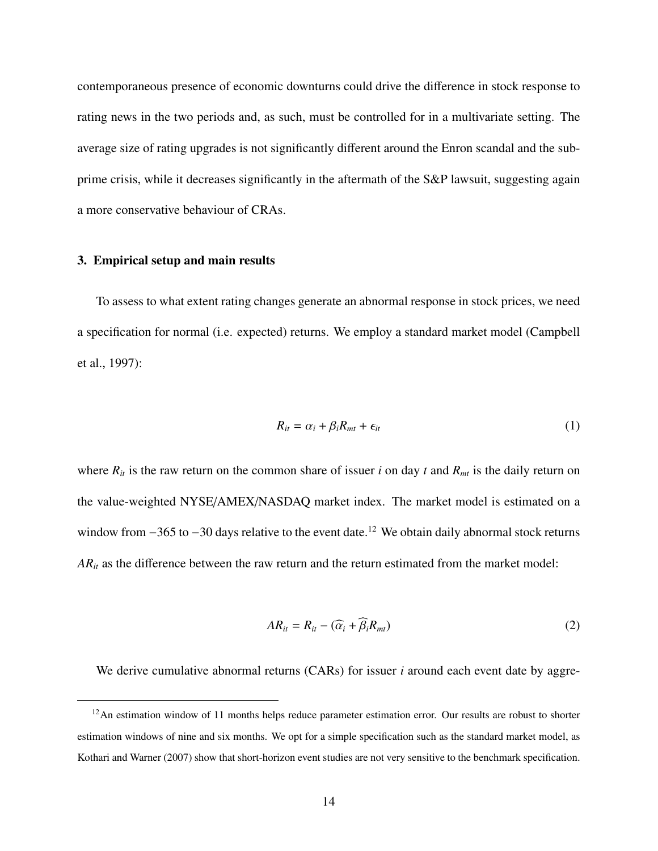contemporaneous presence of economic downturns could drive the difference in stock response to rating news in the two periods and, as such, must be controlled for in a multivariate setting. The average size of rating upgrades is not significantly different around the Enron scandal and the subprime crisis, while it decreases significantly in the aftermath of the S&P lawsuit, suggesting again a more conservative behaviour of CRAs.

#### 3. Empirical setup and main results

To assess to what extent rating changes generate an abnormal response in stock prices, we need a specification for normal (i.e. expected) returns. We employ a standard market model (Campbell et al., 1997):

$$
R_{it} = \alpha_i + \beta_i R_{mt} + \epsilon_{it} \tag{1}
$$

where  $R_{it}$  is the raw return on the common share of issuer *i* on day *t* and  $R_{mt}$  is the daily return on the value-weighted NYSE/AMEX/NASDAQ market index. The market model is estimated on a window from −365 to −30 days relative to the event date.<sup>12</sup> We obtain daily abnormal stock returns  $AR_{it}$  as the difference between the raw return and the return estimated from the market model:

$$
AR_{it} = R_{it} - (\widehat{\alpha}_i + \beta_i R_{mt})
$$
\n(2)

We derive cumulative abnormal returns (CARs) for issuer *i* around each event date by aggre-

<sup>&</sup>lt;sup>12</sup>An estimation window of 11 months helps reduce parameter estimation error. Our results are robust to shorter estimation windows of nine and six months. We opt for a simple specification such as the standard market model, as Kothari and Warner (2007) show that short-horizon event studies are not very sensitive to the benchmark specification.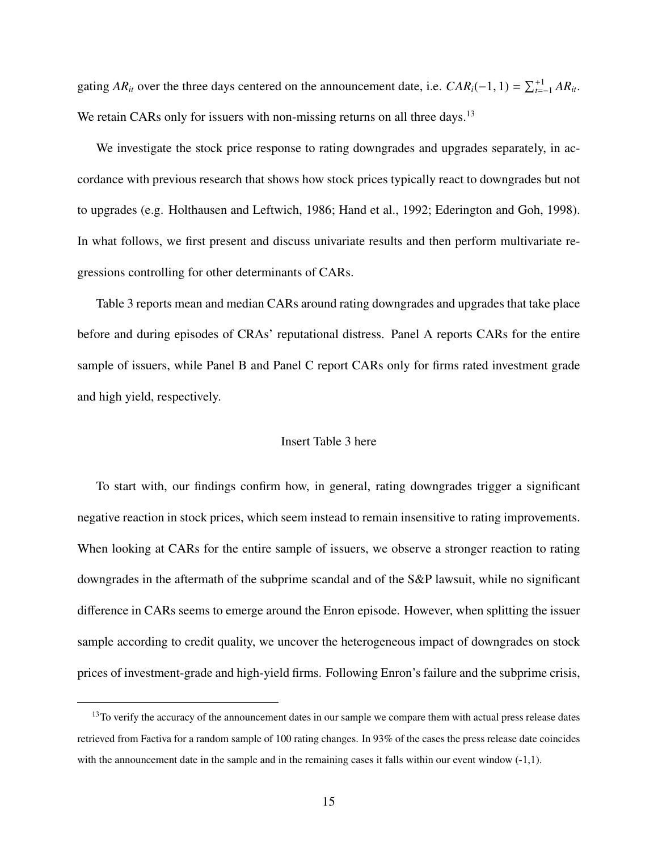gating *AR*<sub>*it*</sub> over the three days centered on the announcement date, i.e.  $CAR_i(-1, 1) = \sum_{t=-1}^{+1} AR_{it}$ . We retain CARs only for issuers with non-missing returns on all three days.<sup>13</sup>

We investigate the stock price response to rating downgrades and upgrades separately, in accordance with previous research that shows how stock prices typically react to downgrades but not to upgrades (e.g. Holthausen and Leftwich, 1986; Hand et al., 1992; Ederington and Goh, 1998). In what follows, we first present and discuss univariate results and then perform multivariate regressions controlling for other determinants of CARs.

Table 3 reports mean and median CARs around rating downgrades and upgrades that take place before and during episodes of CRAs' reputational distress. Panel A reports CARs for the entire sample of issuers, while Panel B and Panel C report CARs only for firms rated investment grade and high yield, respectively.

### Insert Table 3 here

To start with, our findings confirm how, in general, rating downgrades trigger a significant negative reaction in stock prices, which seem instead to remain insensitive to rating improvements. When looking at CARs for the entire sample of issuers, we observe a stronger reaction to rating downgrades in the aftermath of the subprime scandal and of the S&P lawsuit, while no significant difference in CARs seems to emerge around the Enron episode. However, when splitting the issuer sample according to credit quality, we uncover the heterogeneous impact of downgrades on stock prices of investment-grade and high-yield firms. Following Enron's failure and the subprime crisis,

<sup>&</sup>lt;sup>13</sup>To verify the accuracy of the announcement dates in our sample we compare them with actual press release dates retrieved from Factiva for a random sample of 100 rating changes. In 93% of the cases the press release date coincides with the announcement date in the sample and in the remaining cases it falls within our event window  $(-1,1)$ .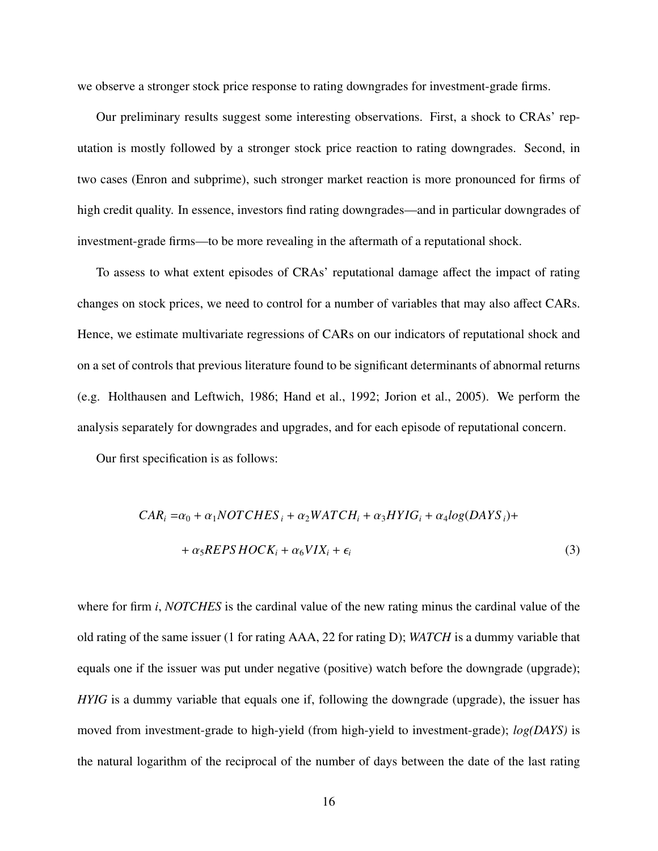we observe a stronger stock price response to rating downgrades for investment-grade firms.

Our preliminary results suggest some interesting observations. First, a shock to CRAs' reputation is mostly followed by a stronger stock price reaction to rating downgrades. Second, in two cases (Enron and subprime), such stronger market reaction is more pronounced for firms of high credit quality. In essence, investors find rating downgrades—and in particular downgrades of investment-grade firms—to be more revealing in the aftermath of a reputational shock.

To assess to what extent episodes of CRAs' reputational damage affect the impact of rating changes on stock prices, we need to control for a number of variables that may also affect CARs. Hence, we estimate multivariate regressions of CARs on our indicators of reputational shock and on a set of controls that previous literature found to be significant determinants of abnormal returns (e.g. Holthausen and Leftwich, 1986; Hand et al., 1992; Jorion et al., 2005). We perform the analysis separately for downgrades and upgrades, and for each episode of reputational concern.

Our first specification is as follows:

$$
CAR_i = \alpha_0 + \alpha_1 NOTCHES_i + \alpha_2 WATCH_i + \alpha_3 HYIG_i + \alpha_4 log(DAYS_i) +
$$
  
+ 
$$
\alpha_5 REPSH OCK_i + \alpha_6 VIX_i + \epsilon_i
$$
 (3)

where for firm *i*, *NOTCHES* is the cardinal value of the new rating minus the cardinal value of the old rating of the same issuer (1 for rating AAA, 22 for rating D); *WATCH* is a dummy variable that equals one if the issuer was put under negative (positive) watch before the downgrade (upgrade); *HYIG* is a dummy variable that equals one if, following the downgrade (upgrade), the issuer has moved from investment-grade to high-yield (from high-yield to investment-grade); *log(DAYS)* is the natural logarithm of the reciprocal of the number of days between the date of the last rating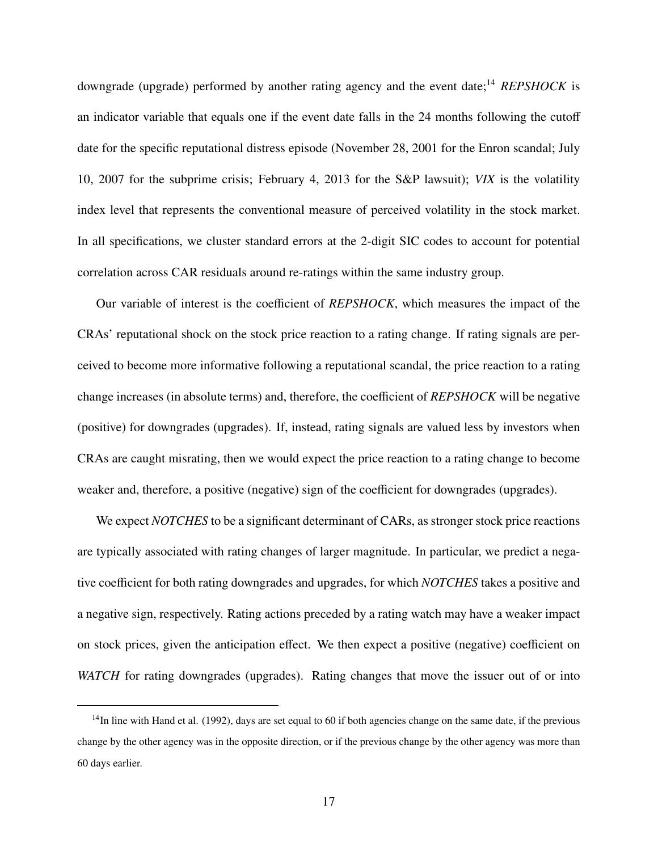downgrade (upgrade) performed by another rating agency and the event date;<sup>14</sup> *REPSHOCK* is an indicator variable that equals one if the event date falls in the 24 months following the cutoff date for the specific reputational distress episode (November 28, 2001 for the Enron scandal; July 10, 2007 for the subprime crisis; February 4, 2013 for the S&P lawsuit); *VIX* is the volatility index level that represents the conventional measure of perceived volatility in the stock market. In all specifications, we cluster standard errors at the 2-digit SIC codes to account for potential correlation across CAR residuals around re-ratings within the same industry group.

Our variable of interest is the coefficient of *REPSHOCK*, which measures the impact of the CRAs' reputational shock on the stock price reaction to a rating change. If rating signals are perceived to become more informative following a reputational scandal, the price reaction to a rating change increases (in absolute terms) and, therefore, the coefficient of *REPSHOCK* will be negative (positive) for downgrades (upgrades). If, instead, rating signals are valued less by investors when CRAs are caught misrating, then we would expect the price reaction to a rating change to become weaker and, therefore, a positive (negative) sign of the coefficient for downgrades (upgrades).

We expect *NOTCHES* to be a significant determinant of CARs, as stronger stock price reactions are typically associated with rating changes of larger magnitude. In particular, we predict a negative coefficient for both rating downgrades and upgrades, for which *NOTCHES* takes a positive and a negative sign, respectively. Rating actions preceded by a rating watch may have a weaker impact on stock prices, given the anticipation effect. We then expect a positive (negative) coefficient on *WATCH* for rating downgrades (upgrades). Rating changes that move the issuer out of or into

 $<sup>14</sup>$ In line with Hand et al. (1992), days are set equal to 60 if both agencies change on the same date, if the previous</sup> change by the other agency was in the opposite direction, or if the previous change by the other agency was more than 60 days earlier.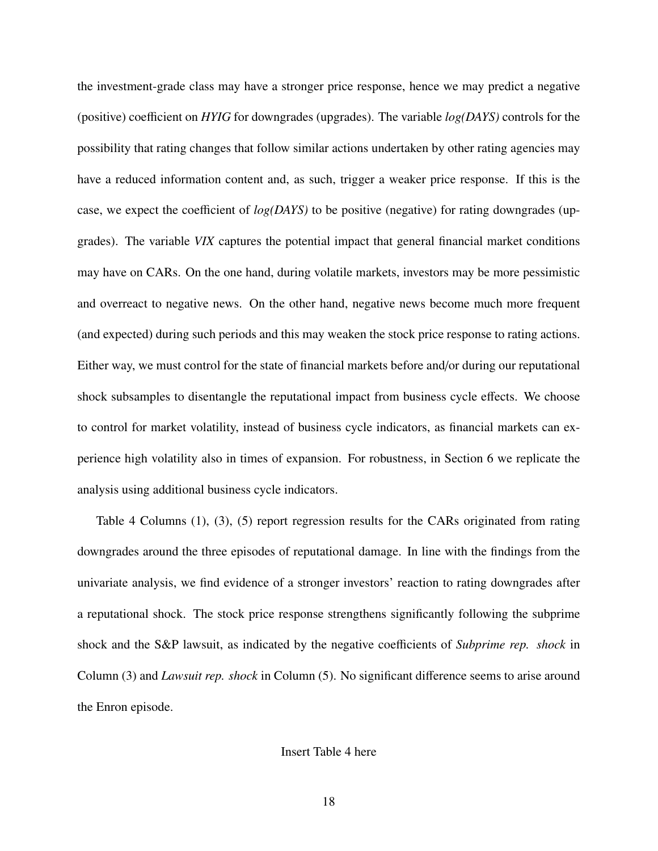the investment-grade class may have a stronger price response, hence we may predict a negative (positive) coefficient on *HYIG* for downgrades (upgrades). The variable *log(DAYS)* controls for the possibility that rating changes that follow similar actions undertaken by other rating agencies may have a reduced information content and, as such, trigger a weaker price response. If this is the case, we expect the coefficient of *log(DAYS)* to be positive (negative) for rating downgrades (upgrades). The variable *VIX* captures the potential impact that general financial market conditions may have on CARs. On the one hand, during volatile markets, investors may be more pessimistic and overreact to negative news. On the other hand, negative news become much more frequent (and expected) during such periods and this may weaken the stock price response to rating actions. Either way, we must control for the state of financial markets before and/or during our reputational shock subsamples to disentangle the reputational impact from business cycle effects. We choose to control for market volatility, instead of business cycle indicators, as financial markets can experience high volatility also in times of expansion. For robustness, in Section 6 we replicate the analysis using additional business cycle indicators.

Table 4 Columns (1), (3), (5) report regression results for the CARs originated from rating downgrades around the three episodes of reputational damage. In line with the findings from the univariate analysis, we find evidence of a stronger investors' reaction to rating downgrades after a reputational shock. The stock price response strengthens significantly following the subprime shock and the S&P lawsuit, as indicated by the negative coefficients of *Subprime rep. shock* in Column (3) and *Lawsuit rep. shock* in Column (5). No significant difference seems to arise around the Enron episode.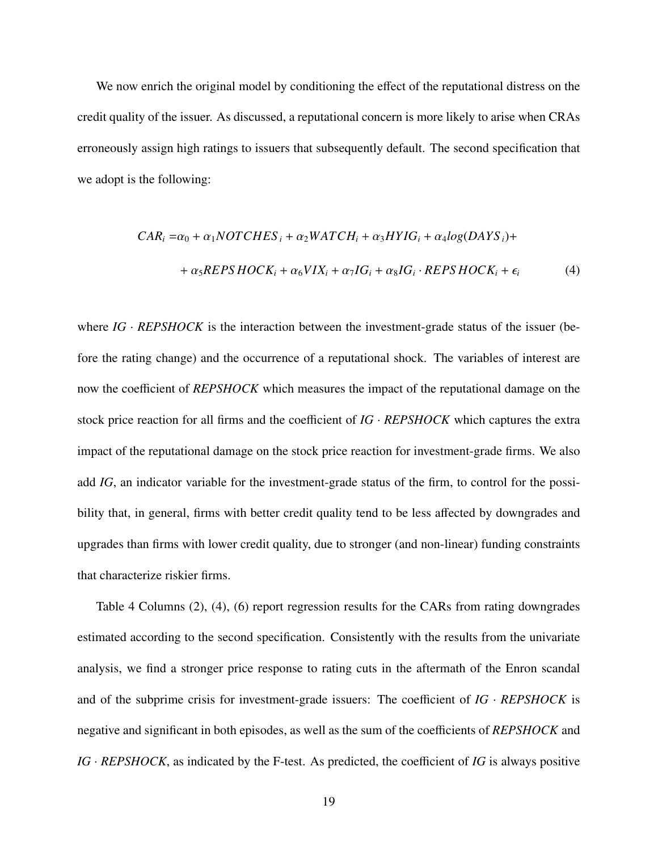We now enrich the original model by conditioning the effect of the reputational distress on the credit quality of the issuer. As discussed, a reputational concern is more likely to arise when CRAs erroneously assign high ratings to issuers that subsequently default. The second specification that we adopt is the following:

$$
CAR_i = \alpha_0 + \alpha_1 NOTCHES_i + \alpha_2 WATCH_i + \alpha_3 HYIG_i + \alpha_4 log(DAYS_i) +
$$
  
+ 
$$
\alpha_5 REPS HOCK_i + \alpha_6 VIX_i + \alpha_7 IG_i + \alpha_8 IG_i \cdot REPS HOCK_i + \epsilon_i
$$
 (4)

where *IG* · *REPSHOCK* is the interaction between the investment-grade status of the issuer (before the rating change) and the occurrence of a reputational shock. The variables of interest are now the coefficient of *REPSHOCK* which measures the impact of the reputational damage on the stock price reaction for all firms and the coefficient of *IG* · *REPSHOCK* which captures the extra impact of the reputational damage on the stock price reaction for investment-grade firms. We also add *IG*, an indicator variable for the investment-grade status of the firm, to control for the possibility that, in general, firms with better credit quality tend to be less affected by downgrades and upgrades than firms with lower credit quality, due to stronger (and non-linear) funding constraints that characterize riskier firms.

Table 4 Columns (2), (4), (6) report regression results for the CARs from rating downgrades estimated according to the second specification. Consistently with the results from the univariate analysis, we find a stronger price response to rating cuts in the aftermath of the Enron scandal and of the subprime crisis for investment-grade issuers: The coefficient of  $IG$  ·  $REPSHOCK$  is negative and significant in both episodes, as well as the sum of the coefficients of *REPSHOCK* and *IG* · *REPSHOCK*, as indicated by the F-test. As predicted, the coefficient of *IG* is always positive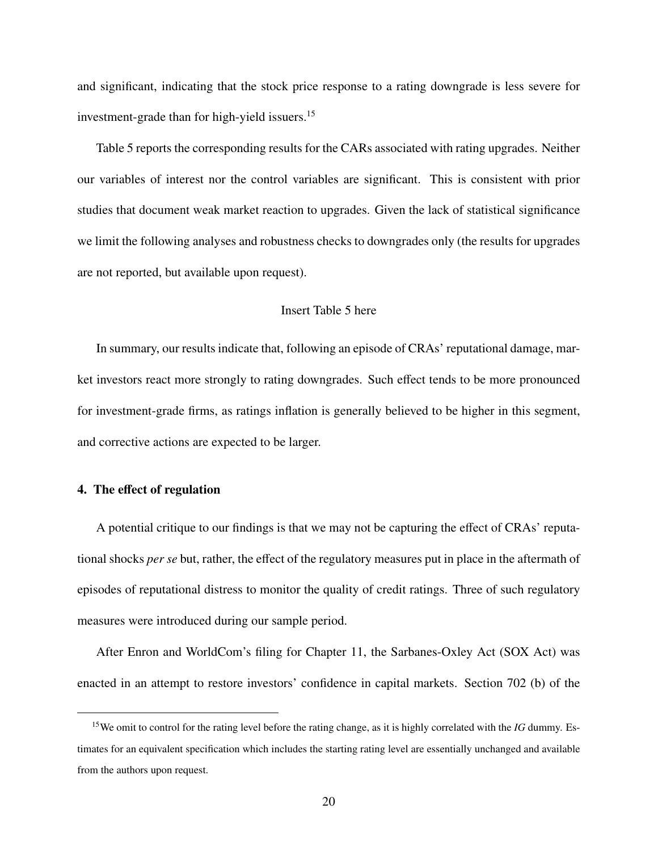and significant, indicating that the stock price response to a rating downgrade is less severe for investment-grade than for high-yield issuers.<sup>15</sup>

Table 5 reports the corresponding results for the CARs associated with rating upgrades. Neither our variables of interest nor the control variables are significant. This is consistent with prior studies that document weak market reaction to upgrades. Given the lack of statistical significance we limit the following analyses and robustness checks to downgrades only (the results for upgrades are not reported, but available upon request).

## Insert Table 5 here

In summary, our results indicate that, following an episode of CRAs' reputational damage, market investors react more strongly to rating downgrades. Such effect tends to be more pronounced for investment-grade firms, as ratings inflation is generally believed to be higher in this segment, and corrective actions are expected to be larger.

## 4. The effect of regulation

A potential critique to our findings is that we may not be capturing the effect of CRAs' reputational shocks *per se* but, rather, the effect of the regulatory measures put in place in the aftermath of episodes of reputational distress to monitor the quality of credit ratings. Three of such regulatory measures were introduced during our sample period.

After Enron and WorldCom's filing for Chapter 11, the Sarbanes-Oxley Act (SOX Act) was enacted in an attempt to restore investors' confidence in capital markets. Section 702 (b) of the

<sup>15</sup>We omit to control for the rating level before the rating change, as it is highly correlated with the *IG* dummy. Estimates for an equivalent specification which includes the starting rating level are essentially unchanged and available from the authors upon request.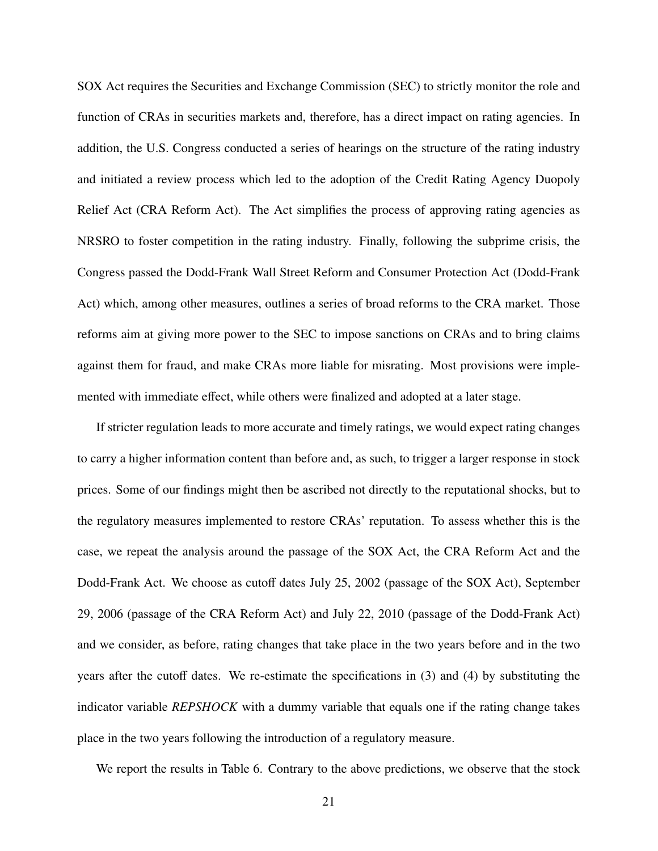SOX Act requires the Securities and Exchange Commission (SEC) to strictly monitor the role and function of CRAs in securities markets and, therefore, has a direct impact on rating agencies. In addition, the U.S. Congress conducted a series of hearings on the structure of the rating industry and initiated a review process which led to the adoption of the Credit Rating Agency Duopoly Relief Act (CRA Reform Act). The Act simplifies the process of approving rating agencies as NRSRO to foster competition in the rating industry. Finally, following the subprime crisis, the Congress passed the Dodd-Frank Wall Street Reform and Consumer Protection Act (Dodd-Frank Act) which, among other measures, outlines a series of broad reforms to the CRA market. Those reforms aim at giving more power to the SEC to impose sanctions on CRAs and to bring claims against them for fraud, and make CRAs more liable for misrating. Most provisions were implemented with immediate effect, while others were finalized and adopted at a later stage.

If stricter regulation leads to more accurate and timely ratings, we would expect rating changes to carry a higher information content than before and, as such, to trigger a larger response in stock prices. Some of our findings might then be ascribed not directly to the reputational shocks, but to the regulatory measures implemented to restore CRAs' reputation. To assess whether this is the case, we repeat the analysis around the passage of the SOX Act, the CRA Reform Act and the Dodd-Frank Act. We choose as cutoff dates July 25, 2002 (passage of the SOX Act), September 29, 2006 (passage of the CRA Reform Act) and July 22, 2010 (passage of the Dodd-Frank Act) and we consider, as before, rating changes that take place in the two years before and in the two years after the cutoff dates. We re-estimate the specifications in (3) and (4) by substituting the indicator variable *REPSHOCK* with a dummy variable that equals one if the rating change takes place in the two years following the introduction of a regulatory measure.

We report the results in Table 6. Contrary to the above predictions, we observe that the stock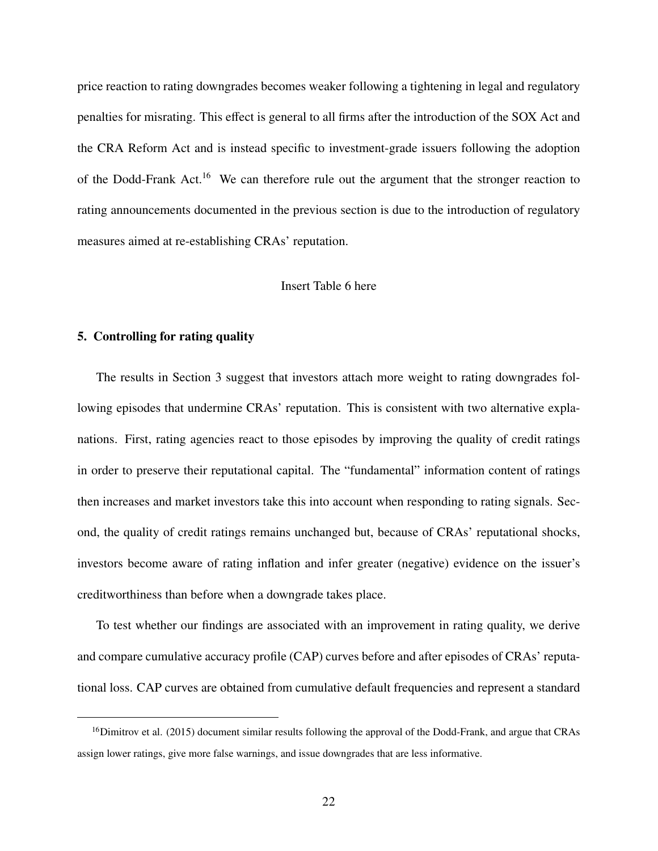price reaction to rating downgrades becomes weaker following a tightening in legal and regulatory penalties for misrating. This effect is general to all firms after the introduction of the SOX Act and the CRA Reform Act and is instead specific to investment-grade issuers following the adoption of the Dodd-Frank Act.<sup>16</sup> We can therefore rule out the argument that the stronger reaction to rating announcements documented in the previous section is due to the introduction of regulatory measures aimed at re-establishing CRAs' reputation.

#### Insert Table 6 here

#### 5. Controlling for rating quality

The results in Section 3 suggest that investors attach more weight to rating downgrades following episodes that undermine CRAs' reputation. This is consistent with two alternative explanations. First, rating agencies react to those episodes by improving the quality of credit ratings in order to preserve their reputational capital. The "fundamental" information content of ratings then increases and market investors take this into account when responding to rating signals. Second, the quality of credit ratings remains unchanged but, because of CRAs' reputational shocks, investors become aware of rating inflation and infer greater (negative) evidence on the issuer's creditworthiness than before when a downgrade takes place.

To test whether our findings are associated with an improvement in rating quality, we derive and compare cumulative accuracy profile (CAP) curves before and after episodes of CRAs' reputational loss. CAP curves are obtained from cumulative default frequencies and represent a standard

<sup>&</sup>lt;sup>16</sup>Dimitrov et al. (2015) document similar results following the approval of the Dodd-Frank, and argue that CRAs assign lower ratings, give more false warnings, and issue downgrades that are less informative.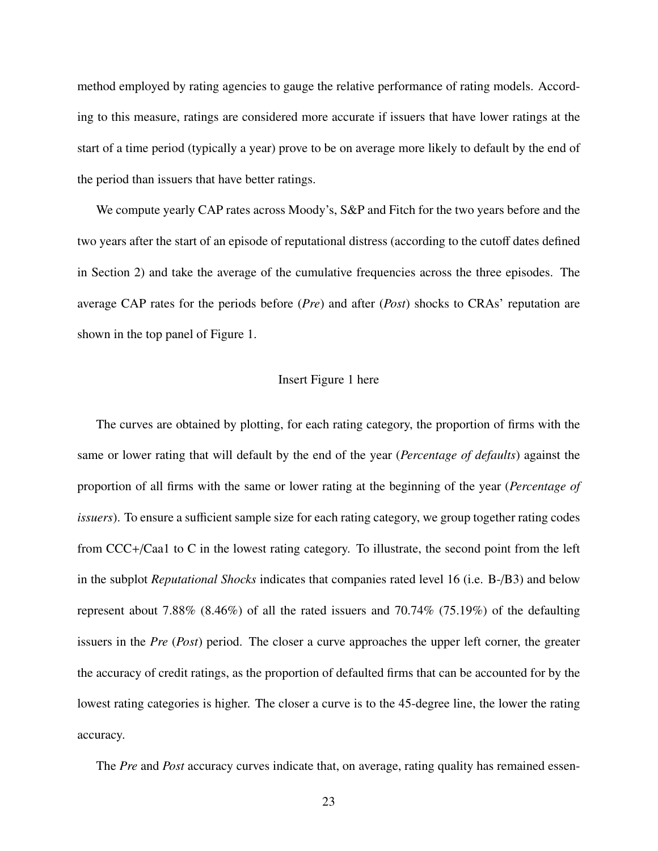method employed by rating agencies to gauge the relative performance of rating models. According to this measure, ratings are considered more accurate if issuers that have lower ratings at the start of a time period (typically a year) prove to be on average more likely to default by the end of the period than issuers that have better ratings.

We compute yearly CAP rates across Moody's, S&P and Fitch for the two years before and the two years after the start of an episode of reputational distress (according to the cutoff dates defined in Section 2) and take the average of the cumulative frequencies across the three episodes. The average CAP rates for the periods before (*Pre*) and after (*Post*) shocks to CRAs' reputation are shown in the top panel of Figure 1.

#### Insert Figure 1 here

The curves are obtained by plotting, for each rating category, the proportion of firms with the same or lower rating that will default by the end of the year (*Percentage of defaults*) against the proportion of all firms with the same or lower rating at the beginning of the year (*Percentage of issuers*). To ensure a sufficient sample size for each rating category, we group together rating codes from CCC+/Caa1 to C in the lowest rating category. To illustrate, the second point from the left in the subplot *Reputational Shocks* indicates that companies rated level 16 (i.e. B-/B3) and below represent about 7.88% (8.46%) of all the rated issuers and 70.74% (75.19%) of the defaulting issuers in the *Pre* (*Post*) period. The closer a curve approaches the upper left corner, the greater the accuracy of credit ratings, as the proportion of defaulted firms that can be accounted for by the lowest rating categories is higher. The closer a curve is to the 45-degree line, the lower the rating accuracy.

The *Pre* and *Post* accuracy curves indicate that, on average, rating quality has remained essen-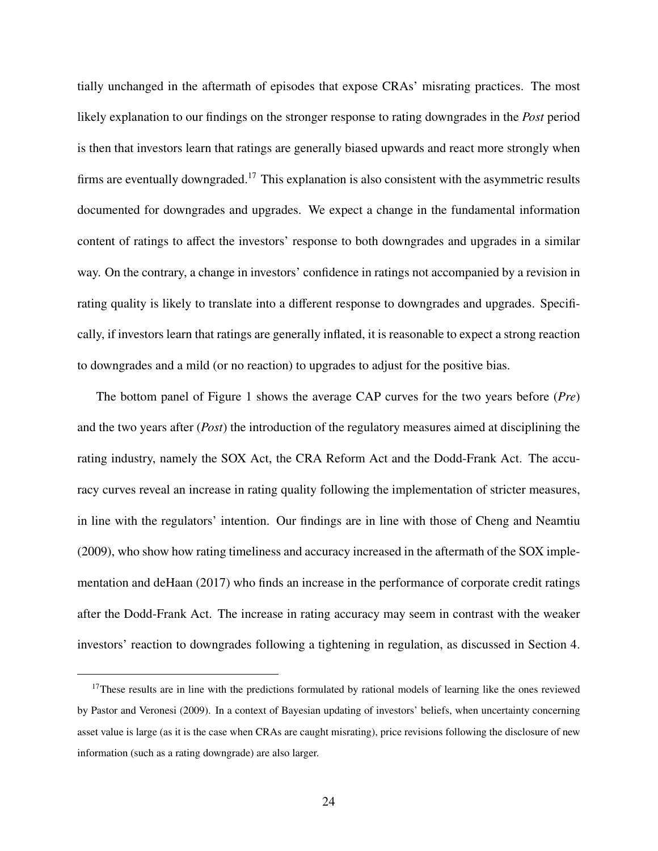tially unchanged in the aftermath of episodes that expose CRAs' misrating practices. The most likely explanation to our findings on the stronger response to rating downgrades in the *Post* period is then that investors learn that ratings are generally biased upwards and react more strongly when firms are eventually downgraded.<sup>17</sup> This explanation is also consistent with the asymmetric results documented for downgrades and upgrades. We expect a change in the fundamental information content of ratings to affect the investors' response to both downgrades and upgrades in a similar way. On the contrary, a change in investors' confidence in ratings not accompanied by a revision in rating quality is likely to translate into a different response to downgrades and upgrades. Specifically, if investors learn that ratings are generally inflated, it is reasonable to expect a strong reaction to downgrades and a mild (or no reaction) to upgrades to adjust for the positive bias.

The bottom panel of Figure 1 shows the average CAP curves for the two years before (*Pre*) and the two years after (*Post*) the introduction of the regulatory measures aimed at disciplining the rating industry, namely the SOX Act, the CRA Reform Act and the Dodd-Frank Act. The accuracy curves reveal an increase in rating quality following the implementation of stricter measures, in line with the regulators' intention. Our findings are in line with those of Cheng and Neamtiu (2009), who show how rating timeliness and accuracy increased in the aftermath of the SOX implementation and deHaan (2017) who finds an increase in the performance of corporate credit ratings after the Dodd-Frank Act. The increase in rating accuracy may seem in contrast with the weaker investors' reaction to downgrades following a tightening in regulation, as discussed in Section 4.

<sup>&</sup>lt;sup>17</sup>These results are in line with the predictions formulated by rational models of learning like the ones reviewed by Pastor and Veronesi (2009). In a context of Bayesian updating of investors' beliefs, when uncertainty concerning asset value is large (as it is the case when CRAs are caught misrating), price revisions following the disclosure of new information (such as a rating downgrade) are also larger.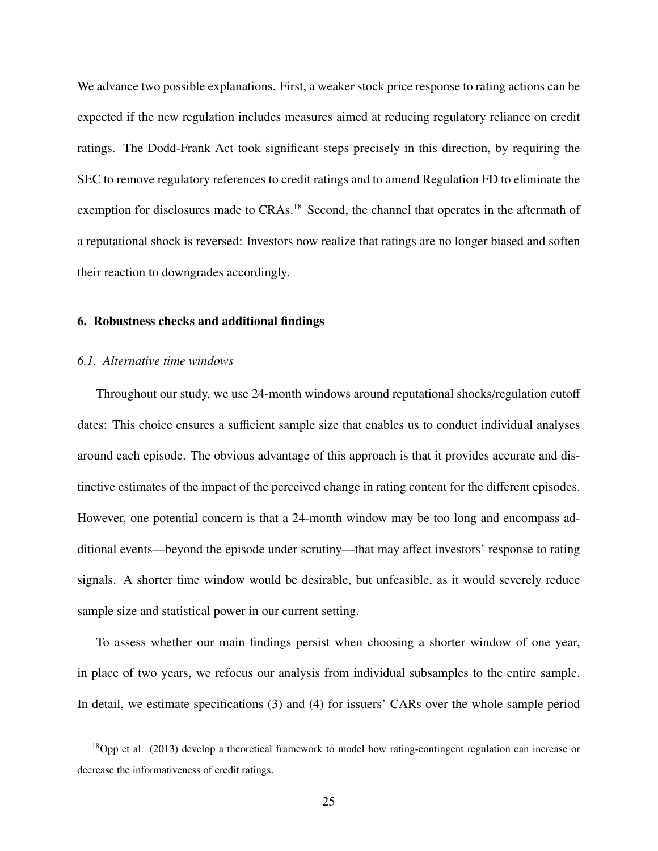We advance two possible explanations. First, a weaker stock price response to rating actions can be expected if the new regulation includes measures aimed at reducing regulatory reliance on credit ratings. The Dodd-Frank Act took significant steps precisely in this direction, by requiring the SEC to remove regulatory references to credit ratings and to amend Regulation FD to eliminate the exemption for disclosures made to CRAs.<sup>18</sup> Second, the channel that operates in the aftermath of a reputational shock is reversed: Investors now realize that ratings are no longer biased and soften their reaction to downgrades accordingly.

## 6. Robustness checks and additional findings

#### *6.1. Alternative time windows*

Throughout our study, we use 24-month windows around reputational shocks/regulation cutoff dates: This choice ensures a sufficient sample size that enables us to conduct individual analyses around each episode. The obvious advantage of this approach is that it provides accurate and distinctive estimates of the impact of the perceived change in rating content for the different episodes. However, one potential concern is that a 24-month window may be too long and encompass additional events—beyond the episode under scrutiny—that may affect investors' response to rating signals. A shorter time window would be desirable, but unfeasible, as it would severely reduce sample size and statistical power in our current setting.

To assess whether our main findings persist when choosing a shorter window of one year, in place of two years, we refocus our analysis from individual subsamples to the entire sample. In detail, we estimate specifications (3) and (4) for issuers' CARs over the whole sample period

<sup>18</sup>Opp et al. (2013) develop a theoretical framework to model how rating-contingent regulation can increase or decrease the informativeness of credit ratings.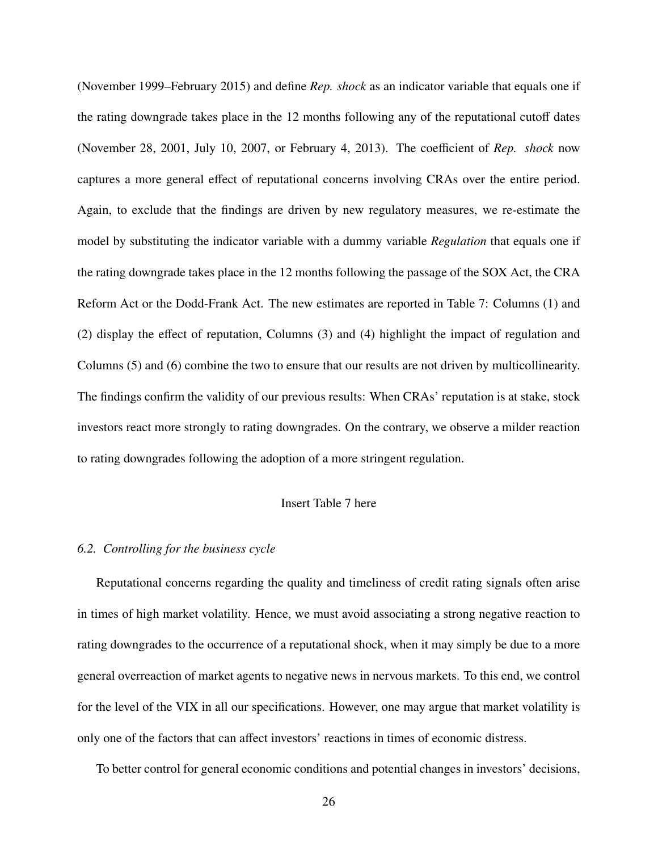(November 1999–February 2015) and define *Rep. shock* as an indicator variable that equals one if the rating downgrade takes place in the 12 months following any of the reputational cutoff dates (November 28, 2001, July 10, 2007, or February 4, 2013). The coefficient of *Rep. shock* now captures a more general effect of reputational concerns involving CRAs over the entire period. Again, to exclude that the findings are driven by new regulatory measures, we re-estimate the model by substituting the indicator variable with a dummy variable *Regulation* that equals one if the rating downgrade takes place in the 12 months following the passage of the SOX Act, the CRA Reform Act or the Dodd-Frank Act. The new estimates are reported in Table 7: Columns (1) and (2) display the effect of reputation, Columns (3) and (4) highlight the impact of regulation and Columns (5) and (6) combine the two to ensure that our results are not driven by multicollinearity. The findings confirm the validity of our previous results: When CRAs' reputation is at stake, stock investors react more strongly to rating downgrades. On the contrary, we observe a milder reaction to rating downgrades following the adoption of a more stringent regulation.

# Insert Table 7 here

### *6.2. Controlling for the business cycle*

Reputational concerns regarding the quality and timeliness of credit rating signals often arise in times of high market volatility. Hence, we must avoid associating a strong negative reaction to rating downgrades to the occurrence of a reputational shock, when it may simply be due to a more general overreaction of market agents to negative news in nervous markets. To this end, we control for the level of the VIX in all our specifications. However, one may argue that market volatility is only one of the factors that can affect investors' reactions in times of economic distress.

To better control for general economic conditions and potential changes in investors' decisions,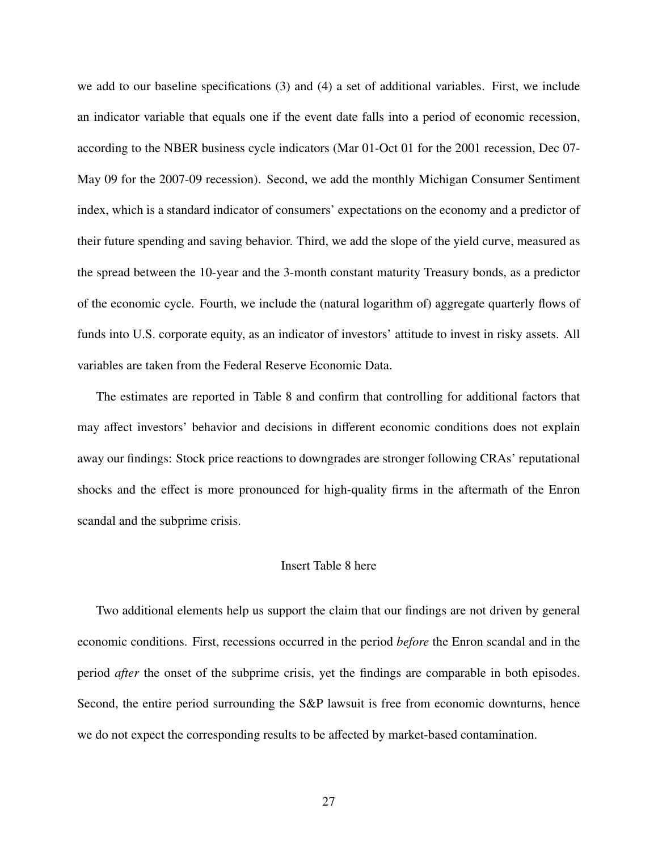we add to our baseline specifications (3) and (4) a set of additional variables. First, we include an indicator variable that equals one if the event date falls into a period of economic recession, according to the NBER business cycle indicators (Mar 01-Oct 01 for the 2001 recession, Dec 07- May 09 for the 2007-09 recession). Second, we add the monthly Michigan Consumer Sentiment index, which is a standard indicator of consumers' expectations on the economy and a predictor of their future spending and saving behavior. Third, we add the slope of the yield curve, measured as the spread between the 10-year and the 3-month constant maturity Treasury bonds, as a predictor of the economic cycle. Fourth, we include the (natural logarithm of) aggregate quarterly flows of funds into U.S. corporate equity, as an indicator of investors' attitude to invest in risky assets. All variables are taken from the Federal Reserve Economic Data.

The estimates are reported in Table 8 and confirm that controlling for additional factors that may affect investors' behavior and decisions in different economic conditions does not explain away our findings: Stock price reactions to downgrades are stronger following CRAs' reputational shocks and the effect is more pronounced for high-quality firms in the aftermath of the Enron scandal and the subprime crisis.

#### Insert Table 8 here

Two additional elements help us support the claim that our findings are not driven by general economic conditions. First, recessions occurred in the period *before* the Enron scandal and in the period *after* the onset of the subprime crisis, yet the findings are comparable in both episodes. Second, the entire period surrounding the S&P lawsuit is free from economic downturns, hence we do not expect the corresponding results to be affected by market-based contamination.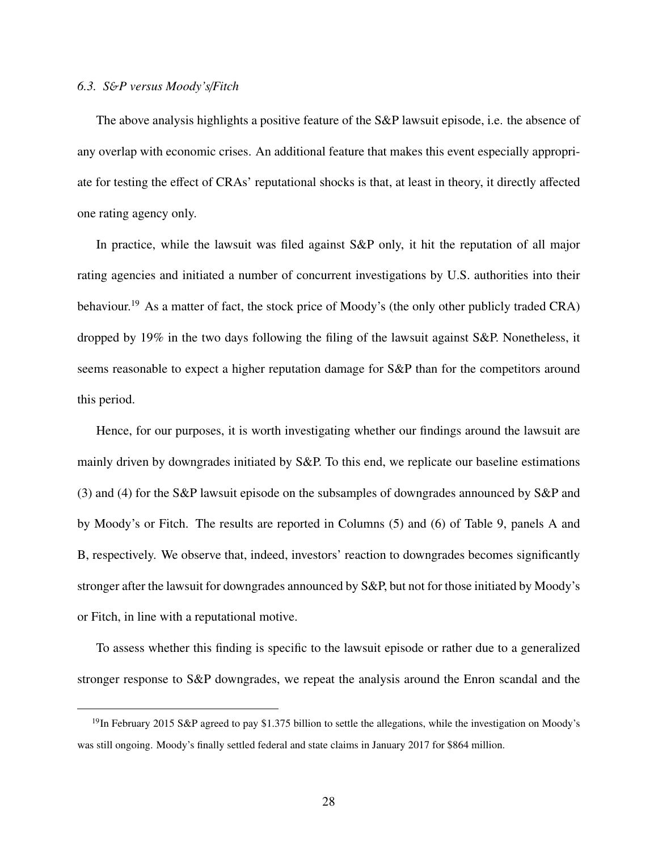#### *6.3. S*&*P versus Moody's*/*Fitch*

The above analysis highlights a positive feature of the S&P lawsuit episode, i.e. the absence of any overlap with economic crises. An additional feature that makes this event especially appropriate for testing the effect of CRAs' reputational shocks is that, at least in theory, it directly affected one rating agency only.

In practice, while the lawsuit was filed against S&P only, it hit the reputation of all major rating agencies and initiated a number of concurrent investigations by U.S. authorities into their behaviour.<sup>19</sup> As a matter of fact, the stock price of Moody's (the only other publicly traded CRA) dropped by 19% in the two days following the filing of the lawsuit against S&P. Nonetheless, it seems reasonable to expect a higher reputation damage for S&P than for the competitors around this period.

Hence, for our purposes, it is worth investigating whether our findings around the lawsuit are mainly driven by downgrades initiated by S&P. To this end, we replicate our baseline estimations (3) and (4) for the S&P lawsuit episode on the subsamples of downgrades announced by S&P and by Moody's or Fitch. The results are reported in Columns (5) and (6) of Table 9, panels A and B, respectively. We observe that, indeed, investors' reaction to downgrades becomes significantly stronger after the lawsuit for downgrades announced by S&P, but not for those initiated by Moody's or Fitch, in line with a reputational motive.

To assess whether this finding is specific to the lawsuit episode or rather due to a generalized stronger response to S&P downgrades, we repeat the analysis around the Enron scandal and the

<sup>&</sup>lt;sup>19</sup>In February 2015 S&P agreed to pay \$1.375 billion to settle the allegations, while the investigation on Moody's was still ongoing. Moody's finally settled federal and state claims in January 2017 for \$864 million.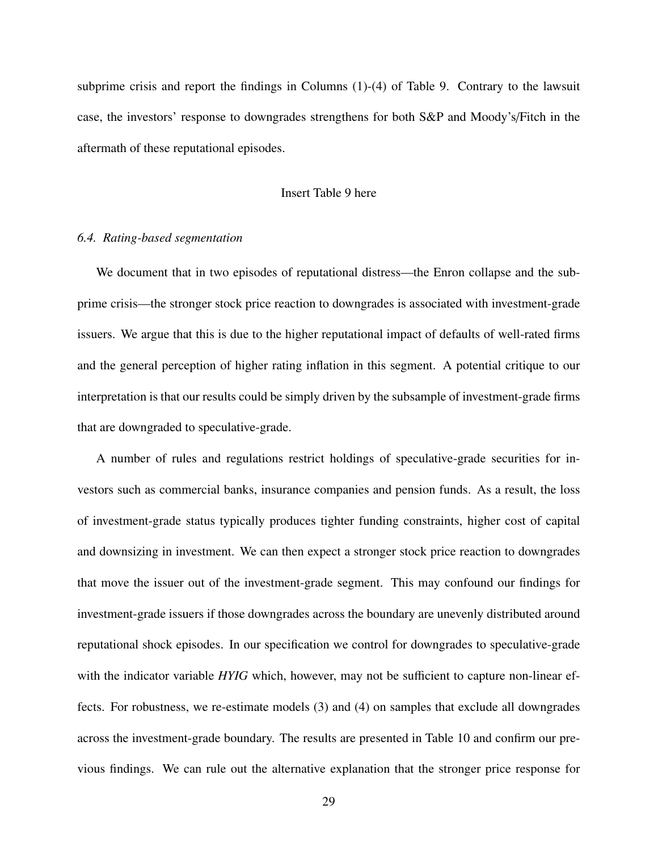subprime crisis and report the findings in Columns (1)-(4) of Table 9. Contrary to the lawsuit case, the investors' response to downgrades strengthens for both S&P and Moody's/Fitch in the aftermath of these reputational episodes.

#### Insert Table 9 here

#### *6.4. Rating-based segmentation*

We document that in two episodes of reputational distress—the Enron collapse and the subprime crisis—the stronger stock price reaction to downgrades is associated with investment-grade issuers. We argue that this is due to the higher reputational impact of defaults of well-rated firms and the general perception of higher rating inflation in this segment. A potential critique to our interpretation is that our results could be simply driven by the subsample of investment-grade firms that are downgraded to speculative-grade.

A number of rules and regulations restrict holdings of speculative-grade securities for investors such as commercial banks, insurance companies and pension funds. As a result, the loss of investment-grade status typically produces tighter funding constraints, higher cost of capital and downsizing in investment. We can then expect a stronger stock price reaction to downgrades that move the issuer out of the investment-grade segment. This may confound our findings for investment-grade issuers if those downgrades across the boundary are unevenly distributed around reputational shock episodes. In our specification we control for downgrades to speculative-grade with the indicator variable *HYIG* which, however, may not be sufficient to capture non-linear effects. For robustness, we re-estimate models (3) and (4) on samples that exclude all downgrades across the investment-grade boundary. The results are presented in Table 10 and confirm our previous findings. We can rule out the alternative explanation that the stronger price response for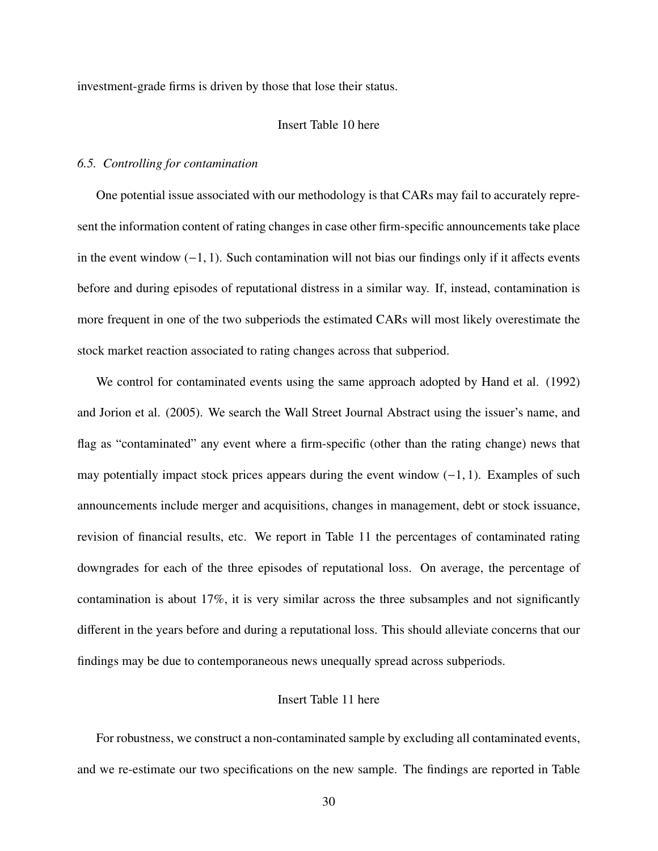investment-grade firms is driven by those that lose their status.

# Insert Table 10 here

#### *6.5. Controlling for contamination*

One potential issue associated with our methodology is that CARs may fail to accurately represent the information content of rating changes in case other firm-specific announcements take place in the event window  $(-1, 1)$ . Such contamination will not bias our findings only if it affects events before and during episodes of reputational distress in a similar way. If, instead, contamination is more frequent in one of the two subperiods the estimated CARs will most likely overestimate the stock market reaction associated to rating changes across that subperiod.

We control for contaminated events using the same approach adopted by Hand et al. (1992) and Jorion et al. (2005). We search the Wall Street Journal Abstract using the issuer's name, and flag as "contaminated" any event where a firm-specific (other than the rating change) news that may potentially impact stock prices appears during the event window  $(-1, 1)$ . Examples of such announcements include merger and acquisitions, changes in management, debt or stock issuance, revision of financial results, etc. We report in Table 11 the percentages of contaminated rating downgrades for each of the three episodes of reputational loss. On average, the percentage of contamination is about 17%, it is very similar across the three subsamples and not significantly different in the years before and during a reputational loss. This should alleviate concerns that our findings may be due to contemporaneous news unequally spread across subperiods.

# Insert Table 11 here

For robustness, we construct a non-contaminated sample by excluding all contaminated events, and we re-estimate our two specifications on the new sample. The findings are reported in Table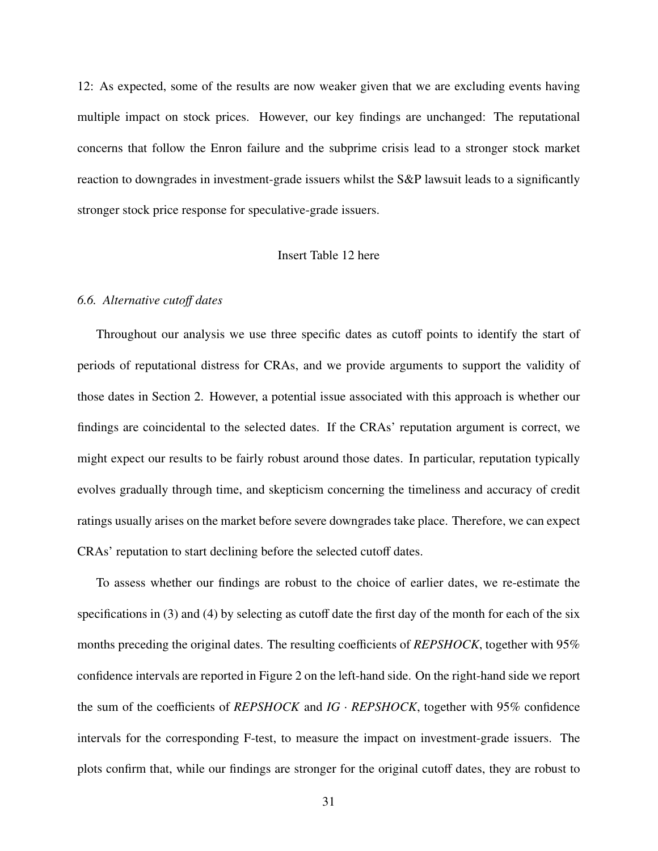12: As expected, some of the results are now weaker given that we are excluding events having multiple impact on stock prices. However, our key findings are unchanged: The reputational concerns that follow the Enron failure and the subprime crisis lead to a stronger stock market reaction to downgrades in investment-grade issuers whilst the S&P lawsuit leads to a significantly stronger stock price response for speculative-grade issuers.

## Insert Table 12 here

#### *6.6. Alternative cuto*ff *dates*

Throughout our analysis we use three specific dates as cutoff points to identify the start of periods of reputational distress for CRAs, and we provide arguments to support the validity of those dates in Section 2. However, a potential issue associated with this approach is whether our findings are coincidental to the selected dates. If the CRAs' reputation argument is correct, we might expect our results to be fairly robust around those dates. In particular, reputation typically evolves gradually through time, and skepticism concerning the timeliness and accuracy of credit ratings usually arises on the market before severe downgrades take place. Therefore, we can expect CRAs' reputation to start declining before the selected cutoff dates.

To assess whether our findings are robust to the choice of earlier dates, we re-estimate the specifications in (3) and (4) by selecting as cutoff date the first day of the month for each of the six months preceding the original dates. The resulting coefficients of *REPSHOCK*, together with 95% confidence intervals are reported in Figure 2 on the left-hand side. On the right-hand side we report the sum of the coefficients of *REPSHOCK* and *IG* · *REPSHOCK*, together with 95% confidence intervals for the corresponding F-test, to measure the impact on investment-grade issuers. The plots confirm that, while our findings are stronger for the original cutoff dates, they are robust to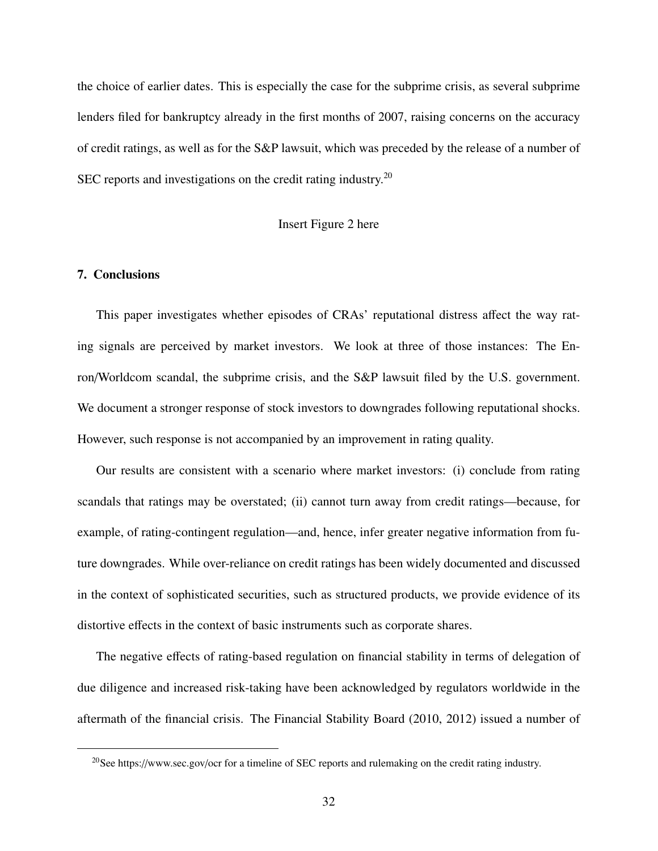the choice of earlier dates. This is especially the case for the subprime crisis, as several subprime lenders filed for bankruptcy already in the first months of 2007, raising concerns on the accuracy of credit ratings, as well as for the S&P lawsuit, which was preceded by the release of a number of SEC reports and investigations on the credit rating industry.<sup>20</sup>

## Insert Figure 2 here

## 7. Conclusions

This paper investigates whether episodes of CRAs' reputational distress affect the way rating signals are perceived by market investors. We look at three of those instances: The Enron/Worldcom scandal, the subprime crisis, and the S&P lawsuit filed by the U.S. government. We document a stronger response of stock investors to downgrades following reputational shocks. However, such response is not accompanied by an improvement in rating quality.

Our results are consistent with a scenario where market investors: (i) conclude from rating scandals that ratings may be overstated; (ii) cannot turn away from credit ratings—because, for example, of rating-contingent regulation—and, hence, infer greater negative information from future downgrades. While over-reliance on credit ratings has been widely documented and discussed in the context of sophisticated securities, such as structured products, we provide evidence of its distortive effects in the context of basic instruments such as corporate shares.

The negative effects of rating-based regulation on financial stability in terms of delegation of due diligence and increased risk-taking have been acknowledged by regulators worldwide in the aftermath of the financial crisis. The Financial Stability Board (2010, 2012) issued a number of

<sup>20</sup>See https://www.sec.gov/ocr for a timeline of SEC reports and rulemaking on the credit rating industry.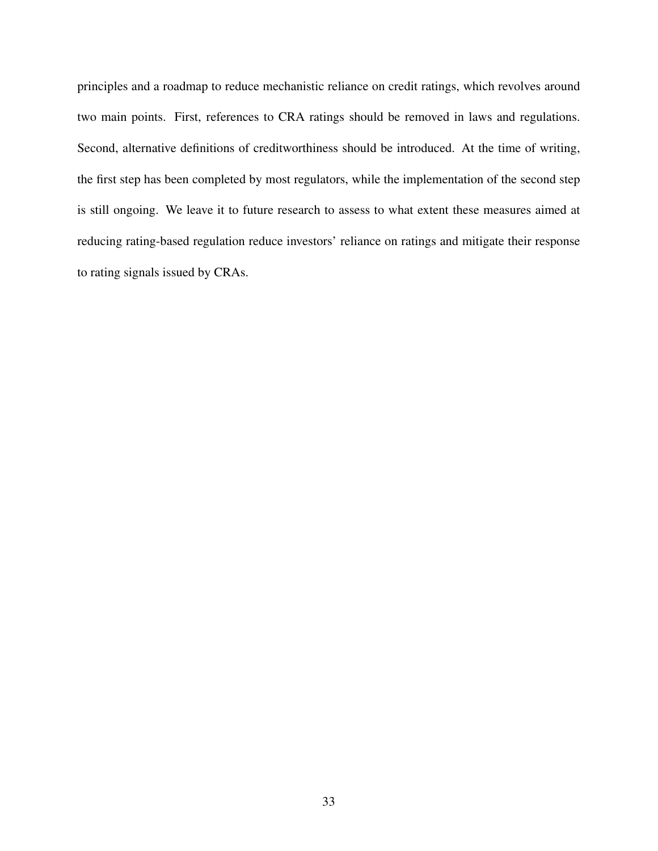principles and a roadmap to reduce mechanistic reliance on credit ratings, which revolves around two main points. First, references to CRA ratings should be removed in laws and regulations. Second, alternative definitions of creditworthiness should be introduced. At the time of writing, the first step has been completed by most regulators, while the implementation of the second step is still ongoing. We leave it to future research to assess to what extent these measures aimed at reducing rating-based regulation reduce investors' reliance on ratings and mitigate their response to rating signals issued by CRAs.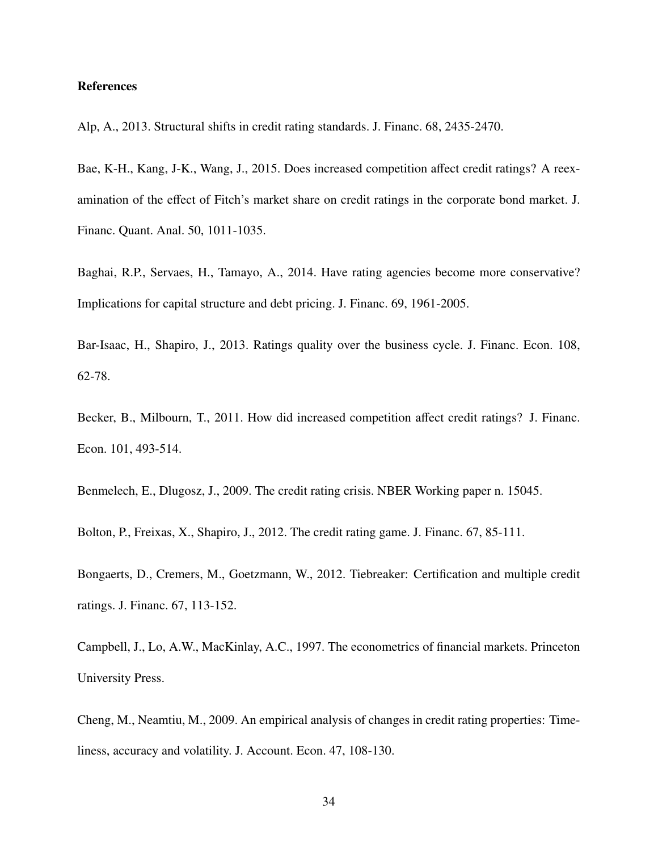#### References

Alp, A., 2013. Structural shifts in credit rating standards. J. Financ. 68, 2435-2470.

Bae, K-H., Kang, J-K., Wang, J., 2015. Does increased competition affect credit ratings? A reexamination of the effect of Fitch's market share on credit ratings in the corporate bond market. J. Financ. Quant. Anal. 50, 1011-1035.

Baghai, R.P., Servaes, H., Tamayo, A., 2014. Have rating agencies become more conservative? Implications for capital structure and debt pricing. J. Financ. 69, 1961-2005.

Bar-Isaac, H., Shapiro, J., 2013. Ratings quality over the business cycle. J. Financ. Econ. 108, 62-78.

Becker, B., Milbourn, T., 2011. How did increased competition affect credit ratings? J. Financ. Econ. 101, 493-514.

Benmelech, E., Dlugosz, J., 2009. The credit rating crisis. NBER Working paper n. 15045.

Bolton, P., Freixas, X., Shapiro, J., 2012. The credit rating game. J. Financ. 67, 85-111.

Bongaerts, D., Cremers, M., Goetzmann, W., 2012. Tiebreaker: Certification and multiple credit ratings. J. Financ. 67, 113-152.

Campbell, J., Lo, A.W., MacKinlay, A.C., 1997. The econometrics of financial markets. Princeton University Press.

Cheng, M., Neamtiu, M., 2009. An empirical analysis of changes in credit rating properties: Timeliness, accuracy and volatility. J. Account. Econ. 47, 108-130.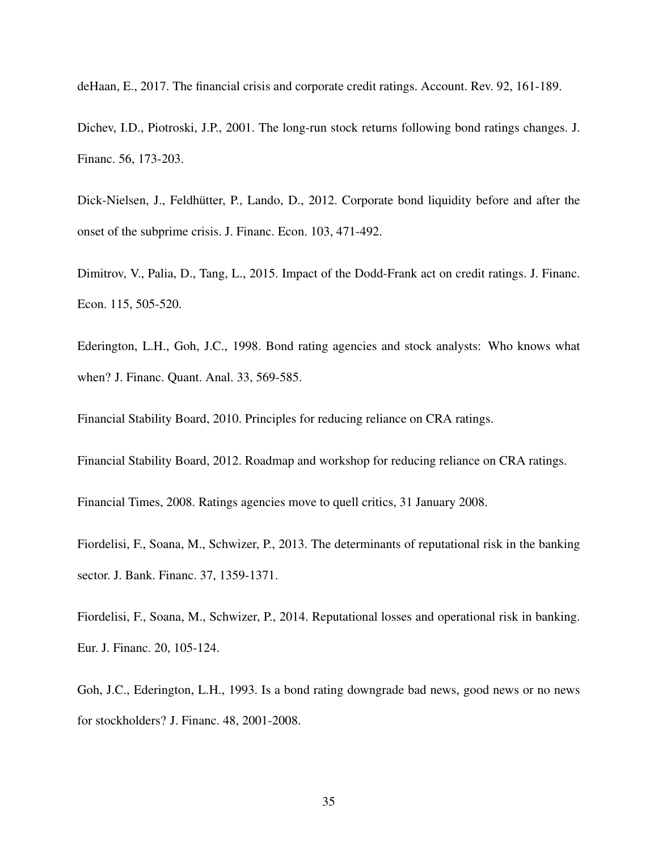deHaan, E., 2017. The financial crisis and corporate credit ratings. Account. Rev. 92, 161-189.

Dichev, I.D., Piotroski, J.P., 2001. The long-run stock returns following bond ratings changes. J. Financ. 56, 173-203.

Dick-Nielsen, J., Feldhütter, P., Lando, D., 2012. Corporate bond liquidity before and after the onset of the subprime crisis. J. Financ. Econ. 103, 471-492.

Dimitrov, V., Palia, D., Tang, L., 2015. Impact of the Dodd-Frank act on credit ratings. J. Financ. Econ. 115, 505-520.

Ederington, L.H., Goh, J.C., 1998. Bond rating agencies and stock analysts: Who knows what when? J. Financ. Quant. Anal. 33, 569-585.

Financial Stability Board, 2010. Principles for reducing reliance on CRA ratings.

Financial Stability Board, 2012. Roadmap and workshop for reducing reliance on CRA ratings.

Financial Times, 2008. Ratings agencies move to quell critics, 31 January 2008.

Fiordelisi, F., Soana, M., Schwizer, P., 2013. The determinants of reputational risk in the banking sector. J. Bank. Financ. 37, 1359-1371.

Fiordelisi, F., Soana, M., Schwizer, P., 2014. Reputational losses and operational risk in banking. Eur. J. Financ. 20, 105-124.

Goh, J.C., Ederington, L.H., 1993. Is a bond rating downgrade bad news, good news or no news for stockholders? J. Financ. 48, 2001-2008.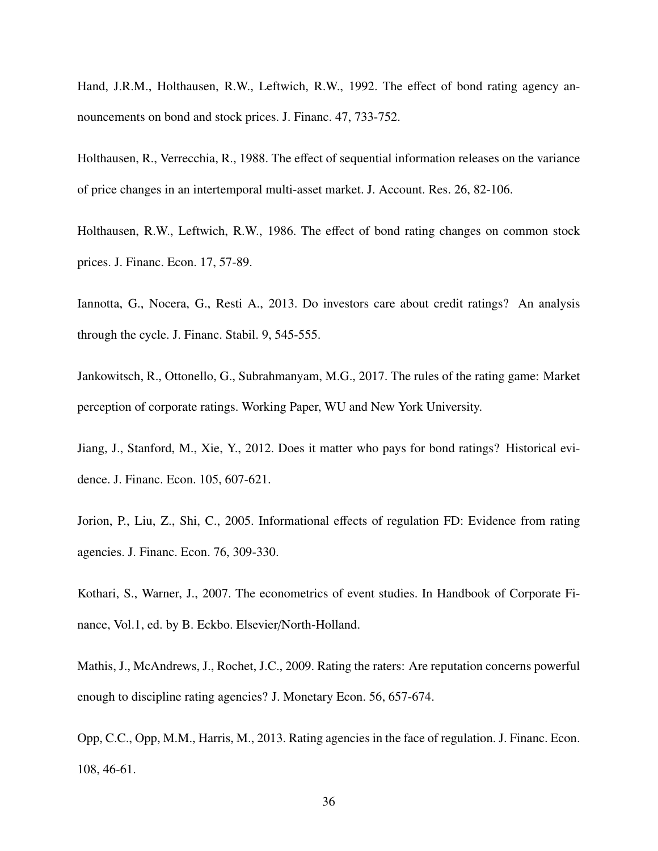Hand, J.R.M., Holthausen, R.W., Leftwich, R.W., 1992. The effect of bond rating agency announcements on bond and stock prices. J. Financ. 47, 733-752.

Holthausen, R., Verrecchia, R., 1988. The effect of sequential information releases on the variance of price changes in an intertemporal multi-asset market. J. Account. Res. 26, 82-106.

Holthausen, R.W., Leftwich, R.W., 1986. The effect of bond rating changes on common stock prices. J. Financ. Econ. 17, 57-89.

Iannotta, G., Nocera, G., Resti A., 2013. Do investors care about credit ratings? An analysis through the cycle. J. Financ. Stabil. 9, 545-555.

Jankowitsch, R., Ottonello, G., Subrahmanyam, M.G., 2017. The rules of the rating game: Market perception of corporate ratings. Working Paper, WU and New York University.

Jiang, J., Stanford, M., Xie, Y., 2012. Does it matter who pays for bond ratings? Historical evidence. J. Financ. Econ. 105, 607-621.

Jorion, P., Liu, Z., Shi, C., 2005. Informational effects of regulation FD: Evidence from rating agencies. J. Financ. Econ. 76, 309-330.

Kothari, S., Warner, J., 2007. The econometrics of event studies. In Handbook of Corporate Finance, Vol.1, ed. by B. Eckbo. Elsevier/North-Holland.

Mathis, J., McAndrews, J., Rochet, J.C., 2009. Rating the raters: Are reputation concerns powerful enough to discipline rating agencies? J. Monetary Econ. 56, 657-674.

Opp, C.C., Opp, M.M., Harris, M., 2013. Rating agencies in the face of regulation. J. Financ. Econ. 108, 46-61.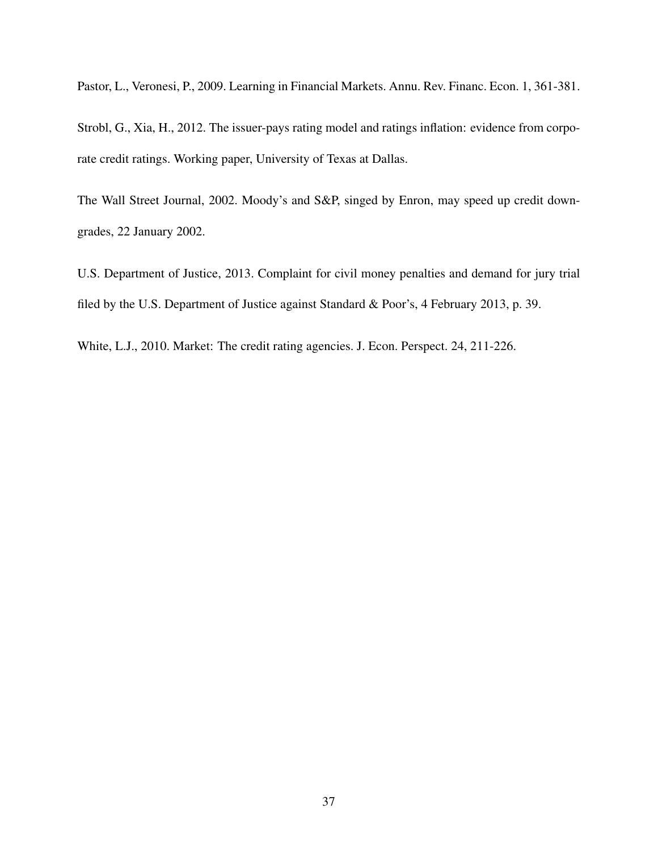Pastor, L., Veronesi, P., 2009. Learning in Financial Markets. Annu. Rev. Financ. Econ. 1, 361-381.

Strobl, G., Xia, H., 2012. The issuer-pays rating model and ratings inflation: evidence from corporate credit ratings. Working paper, University of Texas at Dallas.

The Wall Street Journal, 2002. Moody's and S&P, singed by Enron, may speed up credit downgrades, 22 January 2002.

U.S. Department of Justice, 2013. Complaint for civil money penalties and demand for jury trial filed by the U.S. Department of Justice against Standard & Poor's, 4 February 2013, p. 39.

White, L.J., 2010. Market: The credit rating agencies. J. Econ. Perspect. 24, 211-226.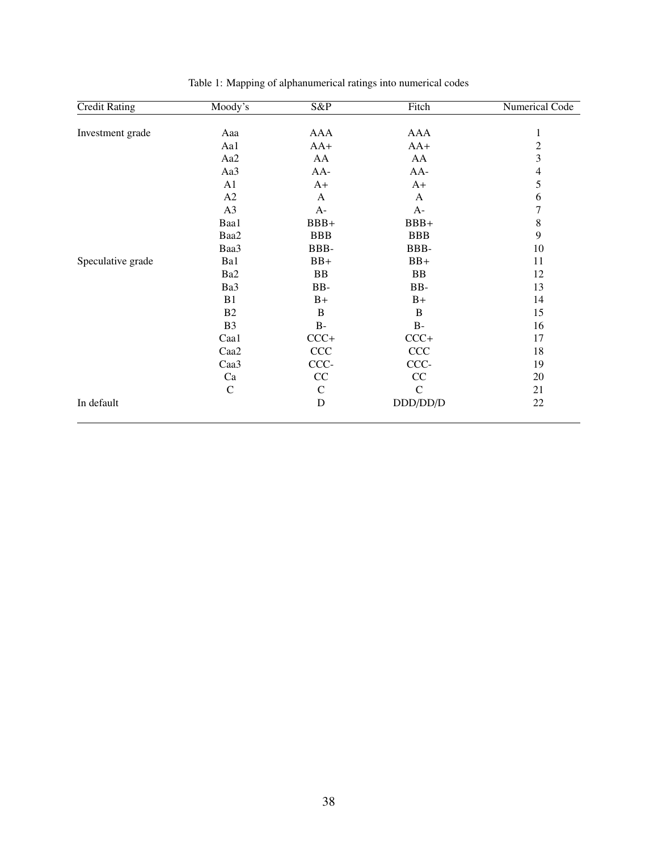| <b>Credit Rating</b> | Moody's         | $S\&P$        | Fitch       | <b>Numerical Code</b> |
|----------------------|-----------------|---------------|-------------|-----------------------|
|                      |                 |               |             |                       |
| Investment grade     | Aaa             | <b>AAA</b>    | AAA         | $\mathbf{1}$          |
|                      | Aa1             | $AA+$         | $AA+$       | $\overline{c}$        |
|                      | Aa2             | AA            | AA          | 3                     |
|                      | Aa3             | AA-           | $AA-$       | $\overline{4}$        |
|                      | A <sub>1</sub>  | $A+$          | $A+$        | 5                     |
|                      | A2              | A             | A           | 6                     |
|                      | A3              | $A-$          | $A-$        | $\overline{7}$        |
|                      | Baa1            | $BBB+$        | $BBB+$      | $\,8$                 |
|                      | Baa2            | <b>BBB</b>    | <b>BBB</b>  | 9                     |
|                      | Baa3            | BBB-          | BBB-        | 10                    |
| Speculative grade    | Ba1             | $BB+$         | $BB+$       | 11                    |
|                      | Ba <sub>2</sub> | BB            | <b>BB</b>   | 12                    |
|                      | Ba3             | BB-           | BB-         | 13                    |
|                      | B <sub>1</sub>  | $B+$          | $B+$        | 14                    |
|                      | B2              | $\, {\bf B}$  | B           | 15                    |
|                      | B <sub>3</sub>  | $B-$          | $B-$        | 16                    |
|                      | Caa1            | $CCC+$        | $CCC+$      | 17                    |
|                      | Caa2            | CCC           | CCC         | 18                    |
|                      | Caa3            | CCC-          | CCC-        | 19                    |
|                      | Ca              | CC            | CC          | 20                    |
|                      | $\mathcal{C}$   | $\mathcal{C}$ | $\mathbf C$ | 21                    |
| In default           |                 | $\mathbf D$   | DDD/DD/D    | 22                    |

Table 1: Mapping of alphanumerical ratings into numerical codes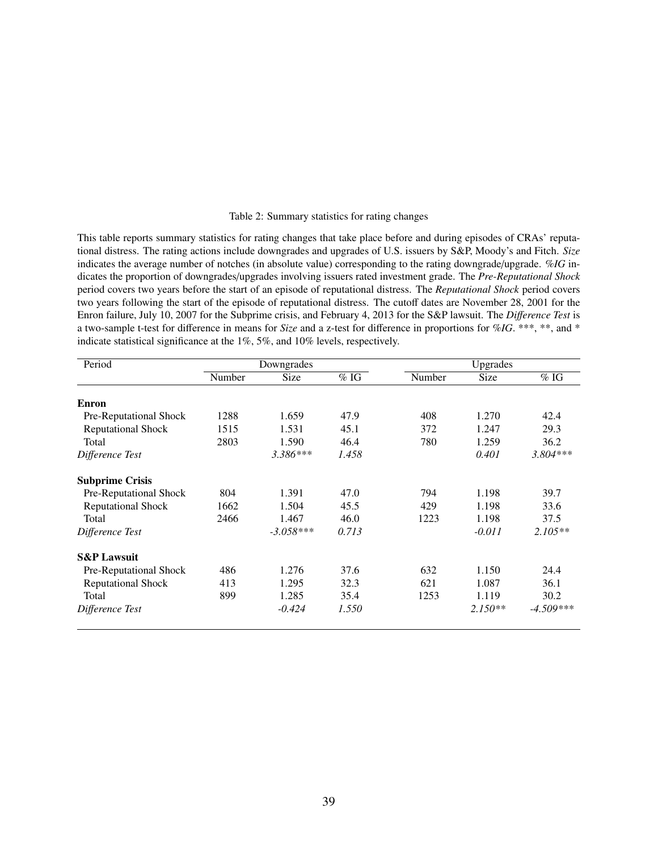#### Table 2: Summary statistics for rating changes

This table reports summary statistics for rating changes that take place before and during episodes of CRAs' reputational distress. The rating actions include downgrades and upgrades of U.S. issuers by S&P, Moody's and Fitch. *Size* indicates the average number of notches (in absolute value) corresponding to the rating downgrade/upgrade. *%IG* indicates the proportion of downgrades/upgrades involving issuers rated investment grade. The *Pre-Reputational Shock* period covers two years before the start of an episode of reputational distress. The *Reputational Shock* period covers two years following the start of the episode of reputational distress. The cutoff dates are November 28, 2001 for the Enron failure, July 10, 2007 for the Subprime crisis, and February 4, 2013 for the S&P lawsuit. The *Di*ff*erence Test* is a two-sample t-test for difference in means for *Size* and a z-test for difference in proportions for *%IG*. \*\*\*, \*\*, and \* indicate statistical significance at the 1%, 5%, and 10% levels, respectively.

| Period                    |        | Downgrades  |                   |        | Upgrades  |                   |
|---------------------------|--------|-------------|-------------------|--------|-----------|-------------------|
|                           | Number | Size        | $\overline{\%$ IG | Number | Size      | $\overline{\%$ IG |
| <b>Enron</b>              |        |             |                   |        |           |                   |
| Pre-Reputational Shock    | 1288   | 1.659       | 47.9              | 408    | 1.270     | 42.4              |
| <b>Reputational Shock</b> | 1515   | 1.531       | 45.1              | 372    | 1.247     | 29.3              |
| Total                     | 2803   | 1.590       | 46.4              | 780    | 1.259     | 36.2              |
| Difference Test           |        | $3.386***$  | 1.458             |        | 0.401     | $3.804***$        |
| <b>Subprime Crisis</b>    |        |             |                   |        |           |                   |
| Pre-Reputational Shock    | 804    | 1.391       | 47.0              | 794    | 1.198     | 39.7              |
| <b>Reputational Shock</b> | 1662   | 1.504       | 45.5              | 429    | 1.198     | 33.6              |
| Total                     | 2466   | 1.467       | 46.0              | 1223   | 1.198     | 37.5              |
| Difference Test           |        | $-3.058***$ | 0.713             |        | $-0.011$  | $2.105**$         |
| <b>S&amp;P Lawsuit</b>    |        |             |                   |        |           |                   |
| Pre-Reputational Shock    | 486    | 1.276       | 37.6              | 632    | 1.150     | 24.4              |
| <b>Reputational Shock</b> | 413    | 1.295       | 32.3              | 621    | 1.087     | 36.1              |
| Total                     | 899    | 1.285       | 35.4              | 1253   | 1.119     | 30.2              |
| Difference Test           |        | $-0.424$    | 1.550             |        | $2.150**$ | $-4.509***$       |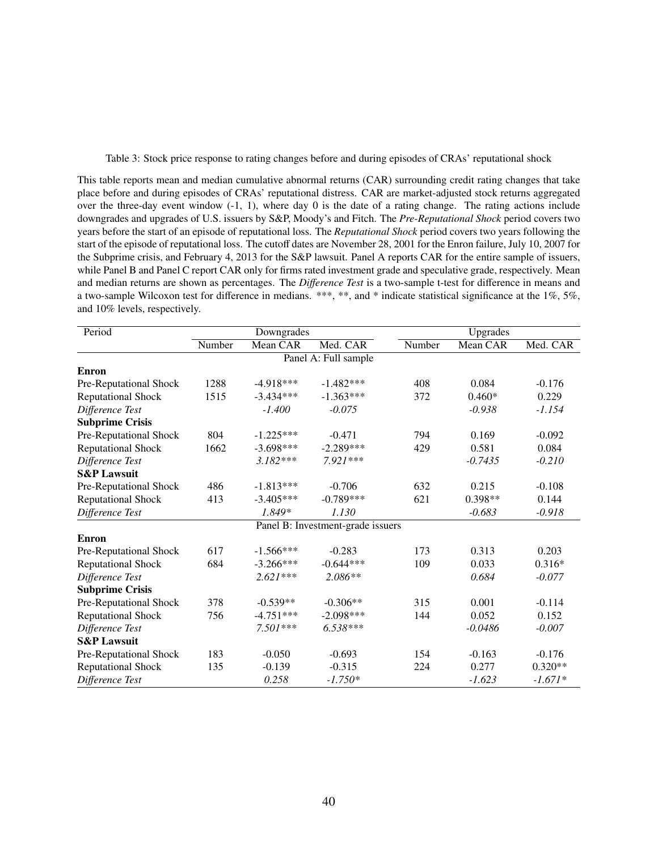Table 3: Stock price response to rating changes before and during episodes of CRAs' reputational shock

This table reports mean and median cumulative abnormal returns (CAR) surrounding credit rating changes that take place before and during episodes of CRAs' reputational distress. CAR are market-adjusted stock returns aggregated over the three-day event window  $(-1, 1)$ , where day 0 is the date of a rating change. The rating actions include downgrades and upgrades of U.S. issuers by S&P, Moody's and Fitch. The *Pre-Reputational Shock* period covers two years before the start of an episode of reputational loss. The *Reputational Shock* period covers two years following the start of the episode of reputational loss. The cutoff dates are November 28, 2001 for the Enron failure, July 10, 2007 for the Subprime crisis, and February 4, 2013 for the S&P lawsuit. Panel A reports CAR for the entire sample of issuers, while Panel B and Panel C report CAR only for firms rated investment grade and speculative grade, respectively. Mean and median returns are shown as percentages. The *Di*ff*erence Test* is a two-sample t-test for difference in means and a two-sample Wilcoxon test for difference in medians. \*\*\*, \*\*, and \* indicate statistical significance at the 1%, 5%, and 10% levels, respectively.

| Period                    |        | Downgrades  |                                   |        | Upgrades  |           |
|---------------------------|--------|-------------|-----------------------------------|--------|-----------|-----------|
|                           | Number | Mean CAR    | Med. CAR                          | Number | Mean CAR  | Med. CAR  |
|                           |        |             | Panel A: Full sample              |        |           |           |
| <b>Enron</b>              |        |             |                                   |        |           |           |
| Pre-Reputational Shock    | 1288   | $-4.918***$ | $-1.482***$                       | 408    | 0.084     | $-0.176$  |
| <b>Reputational Shock</b> | 1515   | $-3.434***$ | $-1.363***$                       | 372    | $0.460*$  | 0.229     |
| Difference Test           |        | $-1.400$    | $-0.075$                          |        | $-0.938$  | $-1.154$  |
| <b>Subprime Crisis</b>    |        |             |                                   |        |           |           |
| Pre-Reputational Shock    | 804    | $-1.225***$ | $-0.471$                          | 794    | 0.169     | $-0.092$  |
| <b>Reputational Shock</b> | 1662   | $-3.698***$ | $-2.289***$                       | 429    | 0.581     | 0.084     |
| Difference Test           |        | $3.182***$  | $7.921***$                        |        | $-0.7435$ | $-0.210$  |
| <b>S&amp;P Lawsuit</b>    |        |             |                                   |        |           |           |
| Pre-Reputational Shock    | 486    | $-1.813***$ | $-0.706$                          | 632    | 0.215     | $-0.108$  |
| <b>Reputational Shock</b> | 413    | $-3.405***$ | $-0.789***$                       | 621    | $0.398**$ | 0.144     |
| Difference Test           |        | $1.849*$    | 1.130                             |        | $-0.683$  | $-0.918$  |
|                           |        |             | Panel B: Investment-grade issuers |        |           |           |
| <b>Enron</b>              |        |             |                                   |        |           |           |
| Pre-Reputational Shock    | 617    | $-1.566***$ | $-0.283$                          | 173    | 0.313     | 0.203     |
| <b>Reputational Shock</b> | 684    | $-3.266***$ | $-0.644***$                       | 109    | 0.033     | $0.316*$  |
| Difference Test           |        | $2.621***$  | $2.086**$                         |        | 0.684     | $-0.077$  |
| <b>Subprime Crisis</b>    |        |             |                                   |        |           |           |
| Pre-Reputational Shock    | 378    | $-0.539**$  | $-0.306**$                        | 315    | 0.001     | $-0.114$  |
| <b>Reputational Shock</b> | 756    | $-4.751***$ | $-2.098***$                       | 144    | 0.052     | 0.152     |
| Difference Test           |        | $7.501***$  | $6.538***$                        |        | $-0.0486$ | $-0.007$  |
| <b>S&amp;P Lawsuit</b>    |        |             |                                   |        |           |           |
| Pre-Reputational Shock    | 183    | $-0.050$    | $-0.693$                          | 154    | $-0.163$  | $-0.176$  |
| <b>Reputational Shock</b> | 135    | $-0.139$    | $-0.315$                          | 224    | 0.277     | $0.320**$ |
| Difference Test           |        | 0.258       | $-1.750*$                         |        | $-1.623$  | $-1.671*$ |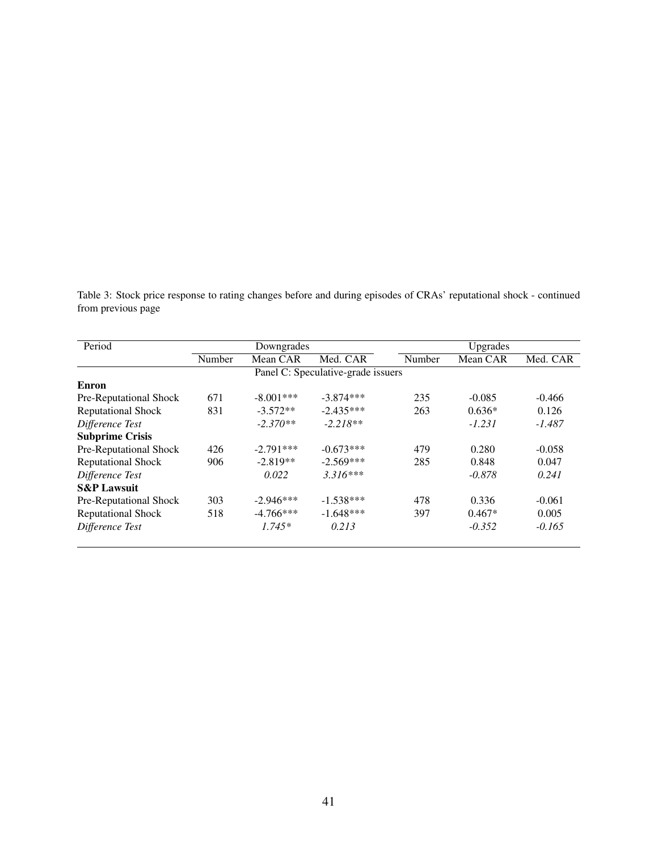Table 3: Stock price response to rating changes before and during episodes of CRAs' reputational shock - continued from previous page

| Period                    |        | Downgrades  |                                    |        | Upgrades |          |
|---------------------------|--------|-------------|------------------------------------|--------|----------|----------|
|                           | Number | Mean CAR    | Med. CAR                           | Number | Mean CAR | Med. CAR |
|                           |        |             | Panel C: Speculative-grade issuers |        |          |          |
| Enron                     |        |             |                                    |        |          |          |
| Pre-Reputational Shock    | 671    | $-8.001***$ | $-3.874***$                        | 235    | $-0.085$ | $-0.466$ |
| <b>Reputational Shock</b> | 831    | $-3.572**$  | $-2.435***$                        | 263    | $0.636*$ | 0.126    |
| Difference Test           |        | $-2.370**$  | $-2.218**$                         |        | $-1.231$ | $-1.487$ |
| <b>Subprime Crisis</b>    |        |             |                                    |        |          |          |
| Pre-Reputational Shock    | 426    | $-2.791***$ | $-0.673***$                        | 479    | 0.280    | $-0.058$ |
| <b>Reputational Shock</b> | 906    | $-2.819**$  | $-2.569***$                        | 285    | 0.848    | 0.047    |
| Difference Test           |        | 0.022       | $3.316***$                         |        | $-0.878$ | 0.241    |
| <b>S&amp;P Lawsuit</b>    |        |             |                                    |        |          |          |
| Pre-Reputational Shock    | 303    | $-2.946***$ | $-1.538***$                        | 478    | 0.336    | $-0.061$ |
| <b>Reputational Shock</b> | 518    | $-4.766***$ | $-1.648***$                        | 397    | $0.467*$ | 0.005    |
| Difference Test           |        | $1.745*$    | 0.213                              |        | $-0.352$ | $-0.165$ |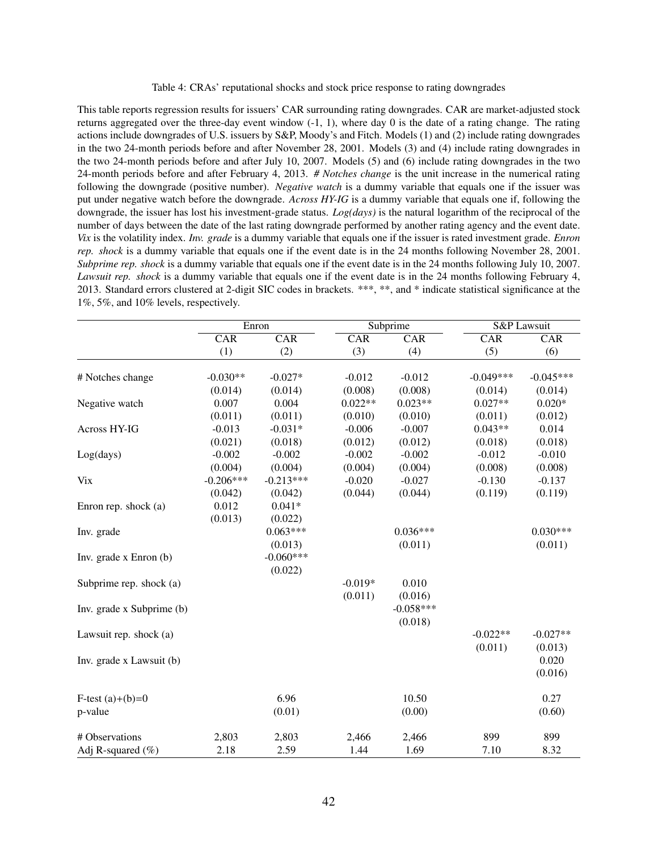Table 4: CRAs' reputational shocks and stock price response to rating downgrades

This table reports regression results for issuers' CAR surrounding rating downgrades. CAR are market-adjusted stock returns aggregated over the three-day event window (-1, 1), where day 0 is the date of a rating change. The rating actions include downgrades of U.S. issuers by S&P, Moody's and Fitch. Models (1) and (2) include rating downgrades in the two 24-month periods before and after November 28, 2001. Models (3) and (4) include rating downgrades in the two 24-month periods before and after July 10, 2007. Models (5) and (6) include rating downgrades in the two 24-month periods before and after February 4, 2013. *# Notches change* is the unit increase in the numerical rating following the downgrade (positive number). *Negative watch* is a dummy variable that equals one if the issuer was put under negative watch before the downgrade. *Across HY-IG* is a dummy variable that equals one if, following the downgrade, the issuer has lost his investment-grade status. *Log(days)* is the natural logarithm of the reciprocal of the number of days between the date of the last rating downgrade performed by another rating agency and the event date. *Vix* is the volatility index. *Inv. grade* is a dummy variable that equals one if the issuer is rated investment grade. *Enron rep. shock* is a dummy variable that equals one if the event date is in the 24 months following November 28, 2001. *Subprime rep. shock* is a dummy variable that equals one if the event date is in the 24 months following July 10, 2007. *Lawsuit rep. shock* is a dummy variable that equals one if the event date is in the 24 months following February 4, 2013. Standard errors clustered at 2-digit SIC codes in brackets. \*\*\*, \*\*, and \* indicate statistical significance at the 1%, 5%, and 10% levels, respectively.

|                           |             | Enron       | Subprime  |             | S&P Lawsuit |             |
|---------------------------|-------------|-------------|-----------|-------------|-------------|-------------|
|                           | CAR         | CAR         | CAR       | CAR         | CAR         | CAR         |
|                           | (1)         | (2)         | (3)       | (4)         | (5)         | (6)         |
|                           |             |             |           |             |             |             |
| # Notches change          | $-0.030**$  | $-0.027*$   | $-0.012$  | $-0.012$    | $-0.049***$ | $-0.045***$ |
|                           | (0.014)     | (0.014)     | (0.008)   | (0.008)     | (0.014)     | (0.014)     |
| Negative watch            | 0.007       | 0.004       | $0.022**$ | $0.023**$   | $0.027**$   | $0.020*$    |
|                           | (0.011)     | (0.011)     | (0.010)   | (0.010)     | (0.011)     | (0.012)     |
| Across HY-IG              | $-0.013$    | $-0.031*$   | $-0.006$  | $-0.007$    | $0.043**$   | 0.014       |
|                           | (0.021)     | (0.018)     | (0.012)   | (0.012)     | (0.018)     | (0.018)     |
| Log(days)                 | $-0.002$    | $-0.002$    | $-0.002$  | $-0.002$    | $-0.012$    | $-0.010$    |
|                           | (0.004)     | (0.004)     | (0.004)   | (0.004)     | (0.008)     | (0.008)     |
| <b>Vix</b>                | $-0.206***$ | $-0.213***$ | $-0.020$  | $-0.027$    | $-0.130$    | $-0.137$    |
|                           | (0.042)     | (0.042)     | (0.044)   | (0.044)     | (0.119)     | (0.119)     |
| Enron rep. shock (a)      | 0.012       | $0.041*$    |           |             |             |             |
|                           | (0.013)     | (0.022)     |           |             |             |             |
| Inv. grade                |             | $0.063***$  |           | $0.036***$  |             | $0.030***$  |
|                           |             | (0.013)     |           | (0.011)     |             | (0.011)     |
| Inv. grade x Enron (b)    |             | $-0.060***$ |           |             |             |             |
|                           |             | (0.022)     |           |             |             |             |
| Subprime rep. shock (a)   |             |             | $-0.019*$ | 0.010       |             |             |
|                           |             |             | (0.011)   | (0.016)     |             |             |
| Inv. grade x Subprime (b) |             |             |           | $-0.058***$ |             |             |
|                           |             |             |           | (0.018)     |             |             |
| Lawsuit rep. shock (a)    |             |             |           |             | $-0.022**$  | $-0.027**$  |
|                           |             |             |           |             | (0.011)     | (0.013)     |
| Inv. grade x Lawsuit (b)  |             |             |           |             |             | 0.020       |
|                           |             |             |           |             |             | (0.016)     |
|                           |             |             |           |             |             |             |
| F-test $(a)+(b)=0$        |             | 6.96        |           | 10.50       |             | 0.27        |
| p-value                   |             | (0.01)      |           | (0.00)      |             | (0.60)      |
|                           |             |             |           |             |             |             |
| # Observations            | 2,803       | 2,803       | 2,466     | 2,466       | 899         | 899         |
| Adj R-squared $(\% )$     | 2.18        | 2.59        | 1.44      | 1.69        | 7.10        | 8.32        |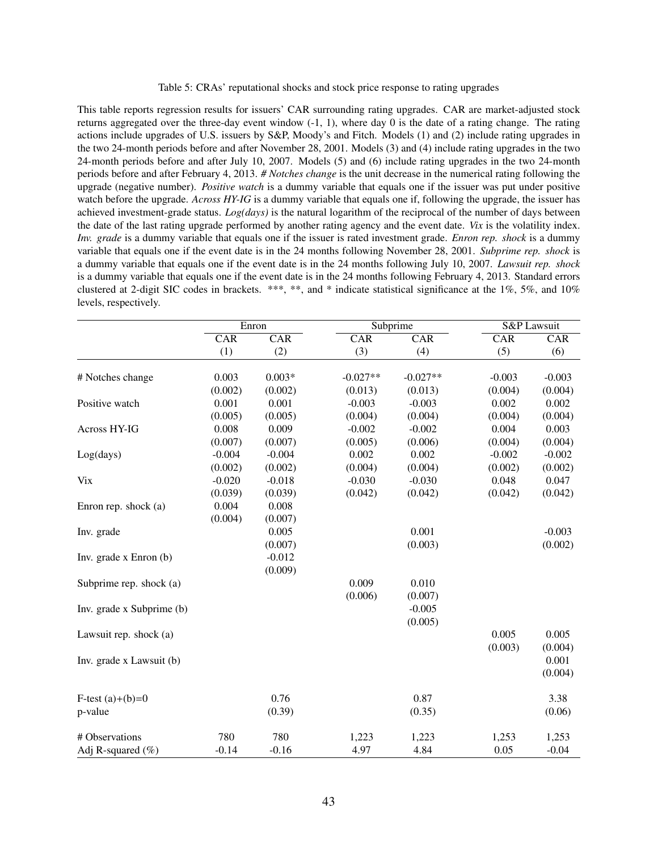Table 5: CRAs' reputational shocks and stock price response to rating upgrades

This table reports regression results for issuers' CAR surrounding rating upgrades. CAR are market-adjusted stock returns aggregated over the three-day event window (-1, 1), where day 0 is the date of a rating change. The rating actions include upgrades of U.S. issuers by S&P, Moody's and Fitch. Models (1) and (2) include rating upgrades in the two 24-month periods before and after November 28, 2001. Models (3) and (4) include rating upgrades in the two 24-month periods before and after July 10, 2007. Models (5) and (6) include rating upgrades in the two 24-month periods before and after February 4, 2013. *# Notches change* is the unit decrease in the numerical rating following the upgrade (negative number). *Positive watch* is a dummy variable that equals one if the issuer was put under positive watch before the upgrade. *Across HY-IG* is a dummy variable that equals one if, following the upgrade, the issuer has achieved investment-grade status. *Log(days)* is the natural logarithm of the reciprocal of the number of days between the date of the last rating upgrade performed by another rating agency and the event date. *Vix* is the volatility index. *Inv. grade* is a dummy variable that equals one if the issuer is rated investment grade. *Enron rep. shock* is a dummy variable that equals one if the event date is in the 24 months following November 28, 2001. *Subprime rep. shock* is a dummy variable that equals one if the event date is in the 24 months following July 10, 2007. *Lawsuit rep. shock* is a dummy variable that equals one if the event date is in the 24 months following February 4, 2013. Standard errors clustered at 2-digit SIC codes in brackets. \*\*\*, \*\*, and \* indicate statistical significance at the 1%, 5%, and 10% levels, respectively.

|                           |          | Enron    | Subprime   |            | S&P Lawsuit |          |
|---------------------------|----------|----------|------------|------------|-------------|----------|
|                           | CAR      | CAR      | CAR        | CAR        | CAR         | CAR      |
|                           | (1)      | (2)      | (3)        | (4)        | (5)         | (6)      |
|                           |          |          |            |            |             |          |
| # Notches change          | 0.003    | $0.003*$ | $-0.027**$ | $-0.027**$ | $-0.003$    | $-0.003$ |
|                           | (0.002)  | (0.002)  | (0.013)    | (0.013)    | (0.004)     | (0.004)  |
| Positive watch            | 0.001    | 0.001    | $-0.003$   | $-0.003$   | 0.002       | 0.002    |
|                           | (0.005)  | (0.005)  | (0.004)    | (0.004)    | (0.004)     | (0.004)  |
| Across HY-IG              | 0.008    | 0.009    | $-0.002$   | $-0.002$   | 0.004       | 0.003    |
|                           | (0.007)  | (0.007)  | (0.005)    | (0.006)    | (0.004)     | (0.004)  |
| Log(days)                 | $-0.004$ | $-0.004$ | 0.002      | 0.002      | $-0.002$    | $-0.002$ |
|                           | (0.002)  | (0.002)  | (0.004)    | (0.004)    | (0.002)     | (0.002)  |
| <b>Vix</b>                | $-0.020$ | $-0.018$ | $-0.030$   | $-0.030$   | 0.048       | 0.047    |
|                           | (0.039)  | (0.039)  | (0.042)    | (0.042)    | (0.042)     | (0.042)  |
| Enron rep. shock (a)      | 0.004    | 0.008    |            |            |             |          |
|                           | (0.004)  | (0.007)  |            |            |             |          |
| Inv. grade                |          | 0.005    |            | 0.001      |             | $-0.003$ |
|                           |          | (0.007)  |            | (0.003)    |             | (0.002)  |
| Inv. grade x Enron (b)    |          | $-0.012$ |            |            |             |          |
|                           |          | (0.009)  |            |            |             |          |
| Subprime rep. shock (a)   |          |          | 0.009      | 0.010      |             |          |
|                           |          |          | (0.006)    | (0.007)    |             |          |
| Inv. grade x Subprime (b) |          |          |            | $-0.005$   |             |          |
|                           |          |          |            | (0.005)    |             |          |
| Lawsuit rep. shock (a)    |          |          |            |            | 0.005       | 0.005    |
|                           |          |          |            |            | (0.003)     | (0.004)  |
| Inv. grade x Lawsuit (b)  |          |          |            |            |             | 0.001    |
|                           |          |          |            |            |             | (0.004)  |
|                           |          |          |            |            |             |          |
| F-test $(a)+(b)=0$        |          | 0.76     |            | 0.87       |             | 3.38     |
| p-value                   |          | (0.39)   |            | (0.35)     |             | (0.06)   |
|                           |          |          |            |            |             |          |
| # Observations            | 780      | 780      | 1,223      | 1,223      | 1,253       | 1,253    |
| Adj R-squared $(\% )$     | $-0.14$  | $-0.16$  | 4.97       | 4.84       | 0.05        | $-0.04$  |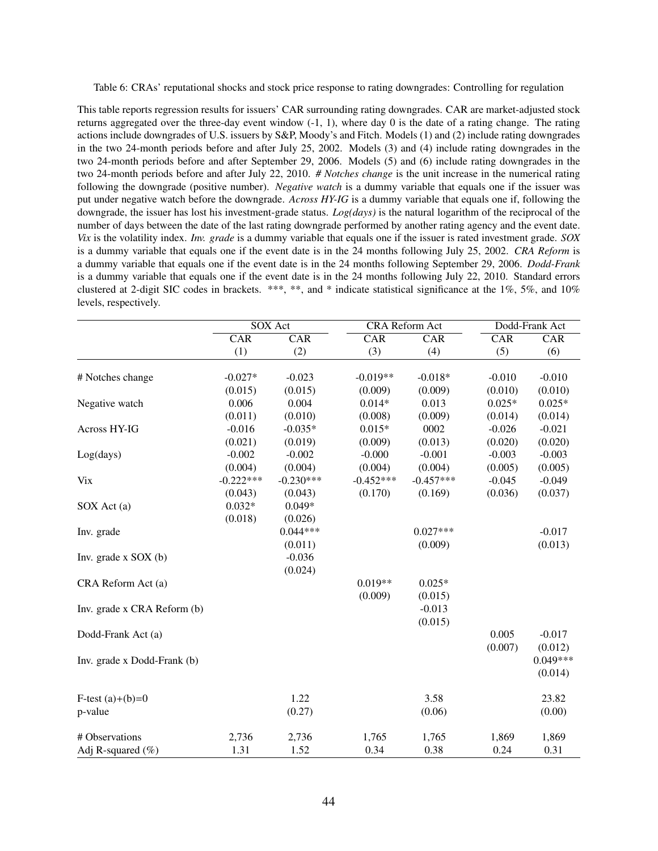Table 6: CRAs' reputational shocks and stock price response to rating downgrades: Controlling for regulation

This table reports regression results for issuers' CAR surrounding rating downgrades. CAR are market-adjusted stock returns aggregated over the three-day event window (-1, 1), where day 0 is the date of a rating change. The rating actions include downgrades of U.S. issuers by S&P, Moody's and Fitch. Models (1) and (2) include rating downgrades in the two 24-month periods before and after July 25, 2002. Models (3) and (4) include rating downgrades in the two 24-month periods before and after September 29, 2006. Models (5) and (6) include rating downgrades in the two 24-month periods before and after July 22, 2010. *# Notches change* is the unit increase in the numerical rating following the downgrade (positive number). *Negative watch* is a dummy variable that equals one if the issuer was put under negative watch before the downgrade. *Across HY-IG* is a dummy variable that equals one if, following the downgrade, the issuer has lost his investment-grade status. *Log(days)* is the natural logarithm of the reciprocal of the number of days between the date of the last rating downgrade performed by another rating agency and the event date. *Vix* is the volatility index. *Inv. grade* is a dummy variable that equals one if the issuer is rated investment grade. *SOX* is a dummy variable that equals one if the event date is in the 24 months following July 25, 2002. *CRA Reform* is a dummy variable that equals one if the event date is in the 24 months following September 29, 2006. *Dodd-Frank* is a dummy variable that equals one if the event date is in the 24 months following July 22, 2010. Standard errors clustered at 2-digit SIC codes in brackets. \*\*\*, \*\*, and \* indicate statistical significance at the 1%, 5%, and 10% levels, respectively.

|                             |             | SOX Act     | <b>CRA</b> Reform Act |             | Dodd-Frank Act |                         |
|-----------------------------|-------------|-------------|-----------------------|-------------|----------------|-------------------------|
|                             | CAR         | CAR         | CAR                   | CAR         | CAR            | $\overline{\text{CAR}}$ |
|                             | (1)         | (2)         | (3)                   | (4)         | (5)            | (6)                     |
|                             |             |             |                       |             |                |                         |
| # Notches change            | $-0.027*$   | $-0.023$    | $-0.019**$            | $-0.018*$   | $-0.010$       | $-0.010$                |
|                             | (0.015)     | (0.015)     | (0.009)               | (0.009)     | (0.010)        | (0.010)                 |
| Negative watch              | 0.006       | 0.004       | $0.014*$              | 0.013       | $0.025*$       | $0.025*$                |
|                             | (0.011)     | (0.010)     | (0.008)               | (0.009)     | (0.014)        | (0.014)                 |
| Across HY-IG                | $-0.016$    | $-0.035*$   | $0.015*$              | 0002        | $-0.026$       | $-0.021$                |
|                             | (0.021)     | (0.019)     | (0.009)               | (0.013)     | (0.020)        | (0.020)                 |
| Log(days)                   | $-0.002$    | $-0.002$    | $-0.000$              | $-0.001$    | $-0.003$       | $-0.003$                |
|                             | (0.004)     | (0.004)     | (0.004)               | (0.004)     | (0.005)        | (0.005)                 |
| <b>Vix</b>                  | $-0.222***$ | $-0.230***$ | $-0.452***$           | $-0.457***$ | $-0.045$       | $-0.049$                |
|                             | (0.043)     | (0.043)     | (0.170)               | (0.169)     | (0.036)        | (0.037)                 |
| SOX Act (a)                 | $0.032*$    | $0.049*$    |                       |             |                |                         |
|                             | (0.018)     | (0.026)     |                       |             |                |                         |
| Inv. grade                  |             | $0.044***$  |                       | $0.027***$  |                | $-0.017$                |
|                             |             | (0.011)     |                       | (0.009)     |                | (0.013)                 |
| Inv. grade $x$ SOX (b)      |             | $-0.036$    |                       |             |                |                         |
|                             |             | (0.024)     |                       |             |                |                         |
| CRA Reform Act (a)          |             |             | $0.019**$             | $0.025*$    |                |                         |
|                             |             |             | (0.009)               | (0.015)     |                |                         |
| Inv. grade x CRA Reform (b) |             |             |                       | $-0.013$    |                |                         |
|                             |             |             |                       | (0.015)     |                |                         |
| Dodd-Frank Act (a)          |             |             |                       |             | 0.005          | $-0.017$                |
|                             |             |             |                       |             | (0.007)        | (0.012)                 |
| Inv. grade x Dodd-Frank (b) |             |             |                       |             |                | $0.049***$              |
|                             |             |             |                       |             |                | (0.014)                 |
|                             |             |             |                       |             |                |                         |
| F-test $(a)+(b)=0$          |             | 1.22        |                       | 3.58        |                | 23.82                   |
| p-value                     |             | (0.27)      |                       | (0.06)      |                | (0.00)                  |
|                             |             |             |                       |             |                |                         |
| # Observations              | 2,736       | 2,736       | 1,765                 | 1,765       | 1,869          | 1,869                   |
| Adj R-squared $(\% )$       | 1.31        | 1.52        | 0.34                  | 0.38        | 0.24           | 0.31                    |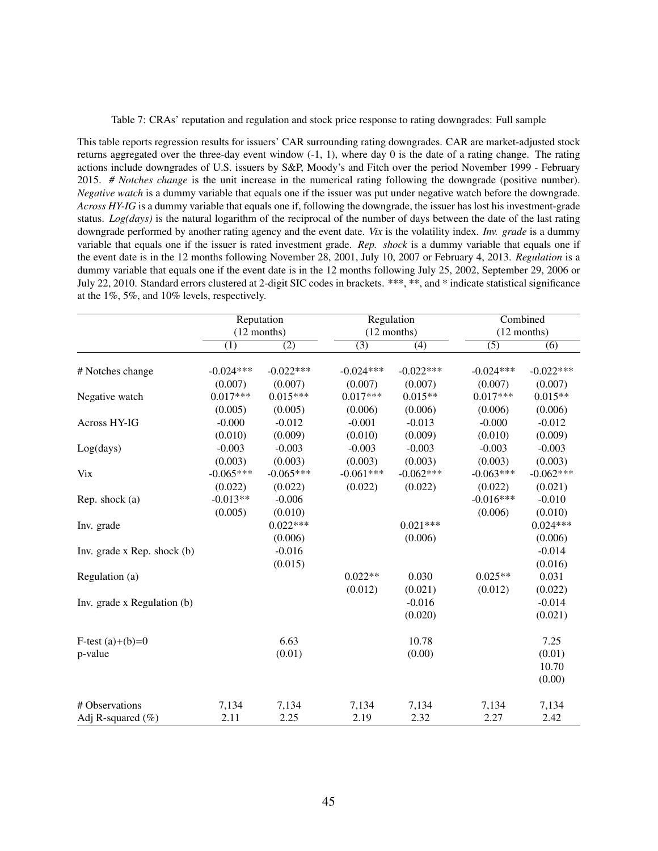Table 7: CRAs' reputation and regulation and stock price response to rating downgrades: Full sample

This table reports regression results for issuers' CAR surrounding rating downgrades. CAR are market-adjusted stock returns aggregated over the three-day event window (-1, 1), where day 0 is the date of a rating change. The rating actions include downgrades of U.S. issuers by S&P, Moody's and Fitch over the period November 1999 - February 2015. *# Notches change* is the unit increase in the numerical rating following the downgrade (positive number). *Negative watch* is a dummy variable that equals one if the issuer was put under negative watch before the downgrade. *Across HY-IG* is a dummy variable that equals one if, following the downgrade, the issuer has lost his investment-grade status. *Log(days)* is the natural logarithm of the reciprocal of the number of days between the date of the last rating downgrade performed by another rating agency and the event date. *Vix* is the volatility index. *Inv. grade* is a dummy variable that equals one if the issuer is rated investment grade. *Rep. shock* is a dummy variable that equals one if the event date is in the 12 months following November 28, 2001, July 10, 2007 or February 4, 2013. *Regulation* is a dummy variable that equals one if the event date is in the 12 months following July 25, 2002, September 29, 2006 or July 22, 2010. Standard errors clustered at 2-digit SIC codes in brackets. \*\*\*, \*\*, and \* indicate statistical significance at the 1%, 5%, and 10% levels, respectively.

|                                 |             | Reputation    | Regulation       |                  | Combined    |                  |  |
|---------------------------------|-------------|---------------|------------------|------------------|-------------|------------------|--|
|                                 |             | $(12$ months) |                  | $(12$ months)    |             | $(12$ months)    |  |
|                                 | (1)         | (2)           | $\overline{(3)}$ | $\overline{(4)}$ | (5)         | $\overline{(6)}$ |  |
| # Notches change                | $-0.024***$ | $-0.022***$   | $-0.024***$      | $-0.022***$      | $-0.024***$ | $-0.022***$      |  |
|                                 | (0.007)     | (0.007)       | (0.007)          | (0.007)          | (0.007)     | (0.007)          |  |
| Negative watch                  | $0.017***$  | $0.015***$    | $0.017***$       | $0.015**$        | $0.017***$  | $0.015**$        |  |
|                                 | (0.005)     | (0.005)       | (0.006)          | (0.006)          | (0.006)     | (0.006)          |  |
| Across HY-IG                    | $-0.000$    | $-0.012$      | $-0.001$         | $-0.013$         | $-0.000$    | $-0.012$         |  |
|                                 | (0.010)     | (0.009)       | (0.010)          | (0.009)          | (0.010)     | (0.009)          |  |
| Log(days)                       | $-0.003$    | $-0.003$      | $-0.003$         | $-0.003$         | $-0.003$    | $-0.003$         |  |
|                                 | (0.003)     | (0.003)       | (0.003)          | (0.003)          | (0.003)     | (0.003)          |  |
| <b>Vix</b>                      | $-0.065***$ | $-0.065***$   | $-0.061***$      | $-0.062***$      | $-0.063***$ | $-0.062***$      |  |
|                                 | (0.022)     | (0.022)       | (0.022)          | (0.022)          | (0.022)     | (0.021)          |  |
| Rep. shock $(a)$                | $-0.013**$  | $-0.006$      |                  |                  | $-0.016***$ | $-0.010$         |  |
|                                 | (0.005)     | (0.010)       |                  |                  | (0.006)     | (0.010)          |  |
| Inv. grade                      |             | $0.022***$    |                  | $0.021***$       |             | $0.024***$       |  |
|                                 |             | (0.006)       |                  | (0.006)          |             | (0.006)          |  |
| Inv. grade $x$ Rep. shock $(b)$ |             | $-0.016$      |                  |                  |             | $-0.014$         |  |
|                                 |             | (0.015)       |                  |                  |             | (0.016)          |  |
| Regulation (a)                  |             |               | $0.022**$        | 0.030            | $0.025**$   | 0.031            |  |
|                                 |             |               | (0.012)          | (0.021)          | (0.012)     | (0.022)          |  |
| Inv. grade x Regulation (b)     |             |               |                  | $-0.016$         |             | $-0.014$         |  |
|                                 |             |               |                  | (0.020)          |             | (0.021)          |  |
| F-test $(a)+(b)=0$              |             | 6.63          |                  | 10.78            |             | 7.25             |  |
| p-value                         |             | (0.01)        |                  | (0.00)           |             | (0.01)           |  |
|                                 |             |               |                  |                  |             | 10.70            |  |
|                                 |             |               |                  |                  |             | (0.00)           |  |
| # Observations                  | 7,134       | 7,134         | 7,134            | 7,134            | 7,134       | 7,134            |  |
| Adj R-squared (%)               | 2.11        | 2.25          | 2.19             | 2.32             | 2.27        | 2.42             |  |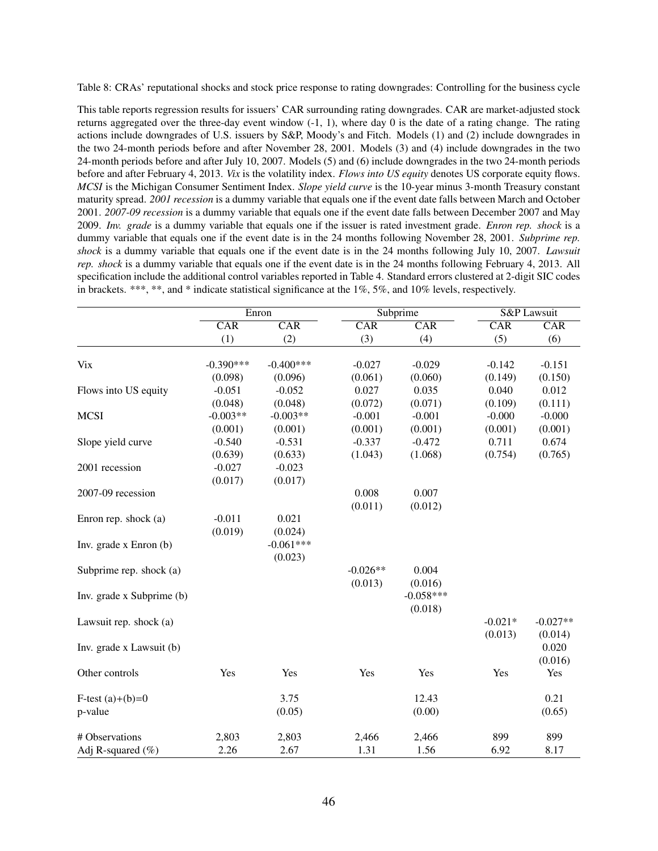Table 8: CRAs' reputational shocks and stock price response to rating downgrades: Controlling for the business cycle

This table reports regression results for issuers' CAR surrounding rating downgrades. CAR are market-adjusted stock returns aggregated over the three-day event window (-1, 1), where day 0 is the date of a rating change. The rating actions include downgrades of U.S. issuers by S&P, Moody's and Fitch. Models (1) and (2) include downgrades in the two 24-month periods before and after November 28, 2001. Models (3) and (4) include downgrades in the two 24-month periods before and after July 10, 2007. Models (5) and (6) include downgrades in the two 24-month periods before and after February 4, 2013. *Vix* is the volatility index. *Flows into US equity* denotes US corporate equity flows. *MCSI* is the Michigan Consumer Sentiment Index. *Slope yield curve* is the 10-year minus 3-month Treasury constant maturity spread. *2001 recession* is a dummy variable that equals one if the event date falls between March and October 2001. *2007-09 recession* is a dummy variable that equals one if the event date falls between December 2007 and May 2009. *Inv. grade* is a dummy variable that equals one if the issuer is rated investment grade. *Enron rep. shock* is a dummy variable that equals one if the event date is in the 24 months following November 28, 2001. *Subprime rep. shock* is a dummy variable that equals one if the event date is in the 24 months following July 10, 2007. *Lawsuit rep. shock* is a dummy variable that equals one if the event date is in the 24 months following February 4, 2013. All specification include the additional control variables reported in Table 4. Standard errors clustered at 2-digit SIC codes in brackets. \*\*\*, \*\*, and \* indicate statistical significance at the  $1\%$ ,  $5\%$ , and  $10\%$  levels, respectively.

| Subprime<br>CAR<br>CAR<br>CAR<br>$\overline{\text{CAR}}$<br>CAR<br>(3)<br>(4)<br>(5)<br>(1)<br>(2)<br>$-0.390***$<br>$-0.400***$<br><b>Vix</b><br>$-0.027$<br>$-0.029$<br>$-0.142$<br>(0.098)<br>(0.096)<br>(0.061)<br>(0.060)<br>(0.149) | CAR<br>(6)<br>$-0.151$<br>(0.150)<br>0.012<br>(0.111)<br>$-0.000$ |
|-------------------------------------------------------------------------------------------------------------------------------------------------------------------------------------------------------------------------------------------|-------------------------------------------------------------------|
|                                                                                                                                                                                                                                           |                                                                   |
|                                                                                                                                                                                                                                           |                                                                   |
|                                                                                                                                                                                                                                           |                                                                   |
|                                                                                                                                                                                                                                           |                                                                   |
| Flows into US equity<br>$-0.051$<br>$-0.052$<br>0.027<br>0.035<br>0.040                                                                                                                                                                   |                                                                   |
| (0.048)<br>(0.048)<br>(0.072)<br>(0.071)<br>(0.109)                                                                                                                                                                                       |                                                                   |
| $-0.003**$<br><b>MCSI</b><br>$-0.003**$<br>$-0.001$<br>$-0.001$<br>$-0.000$                                                                                                                                                               |                                                                   |
| (0.001)<br>(0.001)<br>(0.001)<br>(0.001)<br>(0.001)                                                                                                                                                                                       | (0.001)                                                           |
| $-0.472$<br>$-0.540$<br>$-0.531$<br>$-0.337$<br>0.711<br>Slope yield curve                                                                                                                                                                | 0.674                                                             |
| (0.639)<br>(1.043)<br>(1.068)<br>(0.754)<br>(0.633)                                                                                                                                                                                       | (0.765)                                                           |
| $-0.027$<br>$-0.023$<br>2001 recession                                                                                                                                                                                                    |                                                                   |
| (0.017)<br>(0.017)                                                                                                                                                                                                                        |                                                                   |
| 0.008<br>0.007<br>2007-09 recession                                                                                                                                                                                                       |                                                                   |
| (0.011)<br>(0.012)                                                                                                                                                                                                                        |                                                                   |
| $-0.011$<br>0.021<br>Enron rep. shock (a)                                                                                                                                                                                                 |                                                                   |
| (0.019)<br>(0.024)                                                                                                                                                                                                                        |                                                                   |
| $-0.061***$<br>Inv. grade x Enron (b)                                                                                                                                                                                                     |                                                                   |
| (0.023)                                                                                                                                                                                                                                   |                                                                   |
| $-0.026**$<br>0.004<br>Subprime rep. shock (a)                                                                                                                                                                                            |                                                                   |
| (0.013)<br>(0.016)                                                                                                                                                                                                                        |                                                                   |
| $-0.058***$<br>Inv. grade x Subprime (b)                                                                                                                                                                                                  |                                                                   |
| (0.018)                                                                                                                                                                                                                                   |                                                                   |
| $-0.021*$<br>Lawsuit rep. shock (a)                                                                                                                                                                                                       | $-0.027**$                                                        |
| (0.013)                                                                                                                                                                                                                                   | (0.014)                                                           |
| Inv. grade x Lawsuit (b)                                                                                                                                                                                                                  | 0.020                                                             |
|                                                                                                                                                                                                                                           | (0.016)                                                           |
| Yes<br>Yes<br>Yes<br>Yes<br>Other controls<br>Yes                                                                                                                                                                                         | Yes                                                               |
| 3.75<br>12.43<br>F-test $(a)+(b)=0$                                                                                                                                                                                                       | 0.21                                                              |
| (0.05)<br>(0.00)<br>p-value                                                                                                                                                                                                               | (0.65)                                                            |
| # Observations<br>2,803<br>2,803<br>2,466<br>2,466<br>899                                                                                                                                                                                 | 899                                                               |
| 1.31<br>1.56<br>6.92<br>Adj R-squared $(\% )$<br>2.26<br>2.67                                                                                                                                                                             | 8.17                                                              |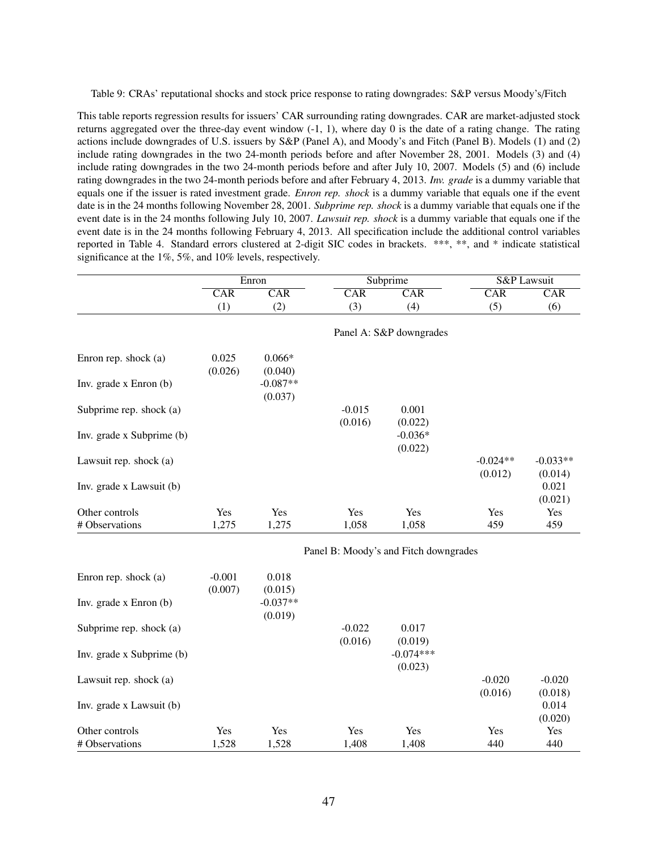Table 9: CRAs' reputational shocks and stock price response to rating downgrades: S&P versus Moody's/Fitch

This table reports regression results for issuers' CAR surrounding rating downgrades. CAR are market-adjusted stock returns aggregated over the three-day event window (-1, 1), where day 0 is the date of a rating change. The rating actions include downgrades of U.S. issuers by S&P (Panel A), and Moody's and Fitch (Panel B). Models (1) and (2) include rating downgrades in the two 24-month periods before and after November 28, 2001. Models (3) and (4) include rating downgrades in the two 24-month periods before and after July 10, 2007. Models (5) and (6) include rating downgrades in the two 24-month periods before and after February 4, 2013. *Inv. grade* is a dummy variable that equals one if the issuer is rated investment grade. *Enron rep. shock* is a dummy variable that equals one if the event date is in the 24 months following November 28, 2001. *Subprime rep. shock* is a dummy variable that equals one if the event date is in the 24 months following July 10, 2007. *Lawsuit rep. shock* is a dummy variable that equals one if the event date is in the 24 months following February 4, 2013. All specification include the additional control variables reported in Table 4. Standard errors clustered at 2-digit SIC codes in brackets. \*\*\*, \*\*, and \* indicate statistical significance at the 1%, 5%, and 10% levels, respectively.

|                           |                     | Enron                 |                         | Subprime                              | S&P Lawsuit             |                       |
|---------------------------|---------------------|-----------------------|-------------------------|---------------------------------------|-------------------------|-----------------------|
|                           | <b>CAR</b>          | CAR                   | $\overline{\text{CAR}}$ | $\overline{\text{CAR}}$               | $\overline{\text{CAR}}$ | CAR                   |
|                           | (1)                 | (2)                   | (3)                     | (4)                                   | (5)                     | (6)                   |
|                           |                     |                       |                         | Panel A: S&P downgrades               |                         |                       |
| Enron rep. shock (a)      | 0.025<br>(0.026)    | $0.066*$<br>(0.040)   |                         |                                       |                         |                       |
| Inv. grade x Enron (b)    |                     | $-0.087**$<br>(0.037) |                         |                                       |                         |                       |
| Subprime rep. shock (a)   |                     |                       | $-0.015$<br>(0.016)     | 0.001<br>(0.022)                      |                         |                       |
| Inv. grade x Subprime (b) |                     |                       |                         | $-0.036*$<br>(0.022)                  |                         |                       |
| Lawsuit rep. shock (a)    |                     |                       |                         |                                       | $-0.024**$<br>(0.012)   | $-0.033**$<br>(0.014) |
| Inv. grade x Lawsuit (b)  |                     |                       |                         |                                       |                         | 0.021<br>(0.021)      |
| Other controls            | Yes                 | Yes                   | Yes                     | Yes                                   | Yes                     | Yes                   |
| # Observations            | 1,275               | 1,275                 | 1,058                   | 1,058                                 | 459                     | 459                   |
|                           |                     |                       |                         | Panel B: Moody's and Fitch downgrades |                         |                       |
| Enron rep. shock (a)      | $-0.001$<br>(0.007) | 0.018<br>(0.015)      |                         |                                       |                         |                       |
| Inv. grade x Enron (b)    |                     | $-0.037**$<br>(0.019) |                         |                                       |                         |                       |
| Subprime rep. shock (a)   |                     |                       | $-0.022$<br>(0.016)     | 0.017<br>(0.019)                      |                         |                       |
| Inv. grade x Subprime (b) |                     |                       |                         | $-0.074***$<br>(0.023)                |                         |                       |
| Lawsuit rep. shock (a)    |                     |                       |                         |                                       | $-0.020$<br>(0.016)     | $-0.020$<br>(0.018)   |
| Inv. grade x Lawsuit (b)  |                     |                       |                         |                                       |                         | 0.014<br>(0.020)      |
| Other controls            | Yes                 | Yes                   | Yes                     | Yes                                   | Yes                     | Yes                   |
| # Observations            | 1,528               | 1,528                 | 1,408                   | 1,408                                 | 440                     | 440                   |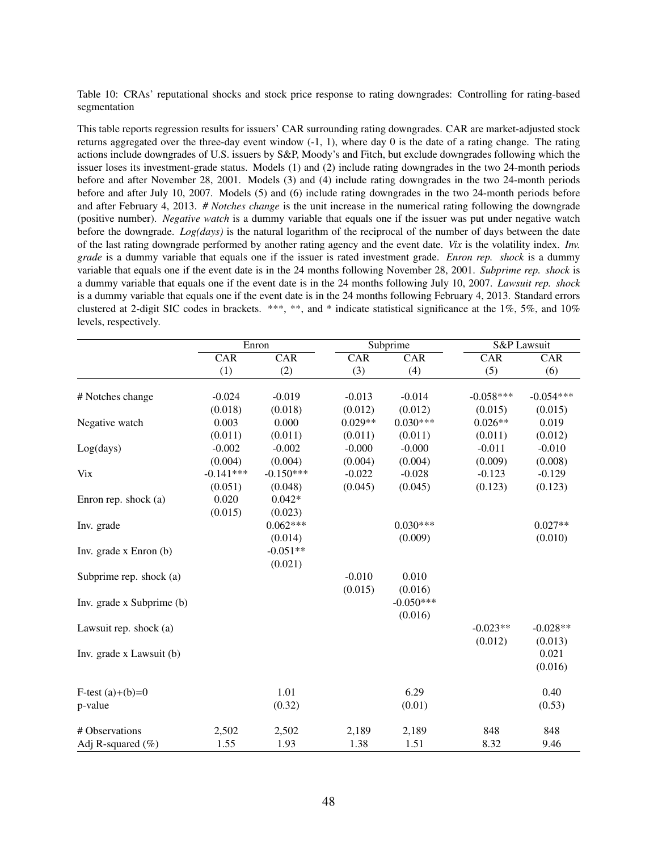Table 10: CRAs' reputational shocks and stock price response to rating downgrades: Controlling for rating-based segmentation

This table reports regression results for issuers' CAR surrounding rating downgrades. CAR are market-adjusted stock returns aggregated over the three-day event window (-1, 1), where day 0 is the date of a rating change. The rating actions include downgrades of U.S. issuers by S&P, Moody's and Fitch, but exclude downgrades following which the issuer loses its investment-grade status. Models (1) and (2) include rating downgrades in the two 24-month periods before and after November 28, 2001. Models (3) and (4) include rating downgrades in the two 24-month periods before and after July 10, 2007. Models (5) and (6) include rating downgrades in the two 24-month periods before and after February 4, 2013. *# Notches change* is the unit increase in the numerical rating following the downgrade (positive number). *Negative watch* is a dummy variable that equals one if the issuer was put under negative watch before the downgrade. *Log(days)* is the natural logarithm of the reciprocal of the number of days between the date of the last rating downgrade performed by another rating agency and the event date. *Vix* is the volatility index. *Inv. grade* is a dummy variable that equals one if the issuer is rated investment grade. *Enron rep. shock* is a dummy variable that equals one if the event date is in the 24 months following November 28, 2001. *Subprime rep. shock* is a dummy variable that equals one if the event date is in the 24 months following July 10, 2007. *Lawsuit rep. shock* is a dummy variable that equals one if the event date is in the 24 months following February 4, 2013. Standard errors clustered at 2-digit SIC codes in brackets. \*\*\*, \*\*, and \* indicate statistical significance at the 1%, 5%, and 10% levels, respectively.

|                           |                         | Enron                   | Subprime  |                         | <b>S&amp;P</b> Lawsuit |             |
|---------------------------|-------------------------|-------------------------|-----------|-------------------------|------------------------|-------------|
|                           | $\overline{\text{CAR}}$ | $\overline{\text{CAR}}$ | CAR       | $\overline{\text{CAR}}$ | CAR                    | CAR         |
|                           | (1)                     | (2)                     | (3)       | (4)                     | (5)                    | (6)         |
|                           |                         |                         |           |                         |                        |             |
| # Notches change          | $-0.024$                | $-0.019$                | $-0.013$  | $-0.014$                | $-0.058***$            | $-0.054***$ |
|                           | (0.018)                 | (0.018)                 | (0.012)   | (0.012)                 | (0.015)                | (0.015)     |
| Negative watch            | 0.003                   | 0.000                   | $0.029**$ | $0.030***$              | $0.026**$              | 0.019       |
|                           | (0.011)                 | (0.011)                 | (0.011)   | (0.011)                 | (0.011)                | (0.012)     |
| Log(days)                 | $-0.002$                | $-0.002$                | $-0.000$  | $-0.000$                | $-0.011$               | $-0.010$    |
|                           | (0.004)                 | (0.004)                 | (0.004)   | (0.004)                 | (0.009)                | (0.008)     |
| <b>Vix</b>                | $-0.141***$             | $-0.150***$             | $-0.022$  | $-0.028$                | $-0.123$               | $-0.129$    |
|                           | (0.051)                 | (0.048)                 | (0.045)   | (0.045)                 | (0.123)                | (0.123)     |
| Enron rep. shock (a)      | 0.020                   | $0.042*$                |           |                         |                        |             |
|                           | (0.015)                 | (0.023)                 |           |                         |                        |             |
| Inv. grade                |                         | $0.062***$              |           | $0.030***$              |                        | $0.027**$   |
|                           |                         | (0.014)                 |           | (0.009)                 |                        | (0.010)     |
| Inv. grade x Enron (b)    |                         | $-0.051**$              |           |                         |                        |             |
|                           |                         | (0.021)                 |           |                         |                        |             |
| Subprime rep. shock (a)   |                         |                         | $-0.010$  | 0.010                   |                        |             |
|                           |                         |                         | (0.015)   | (0.016)                 |                        |             |
| Inv. grade x Subprime (b) |                         |                         |           | $-0.050***$             |                        |             |
|                           |                         |                         |           | (0.016)                 |                        |             |
| Lawsuit rep. shock (a)    |                         |                         |           |                         | $-0.023**$             | $-0.028**$  |
|                           |                         |                         |           |                         | (0.012)                | (0.013)     |
| Inv. grade x Lawsuit (b)  |                         |                         |           |                         |                        | 0.021       |
|                           |                         |                         |           |                         |                        | (0.016)     |
| F-test $(a)+(b)=0$        |                         | 1.01                    |           | 6.29                    |                        | 0.40        |
| p-value                   |                         | (0.32)                  |           | (0.01)                  |                        | (0.53)      |
|                           |                         |                         |           |                         |                        |             |
| # Observations            | 2,502                   | 2,502                   | 2,189     | 2,189                   | 848                    | 848         |
| Adj R-squared $(\% )$     | 1.55                    | 1.93                    | 1.38      | 1.51                    | 8.32                   | 9.46        |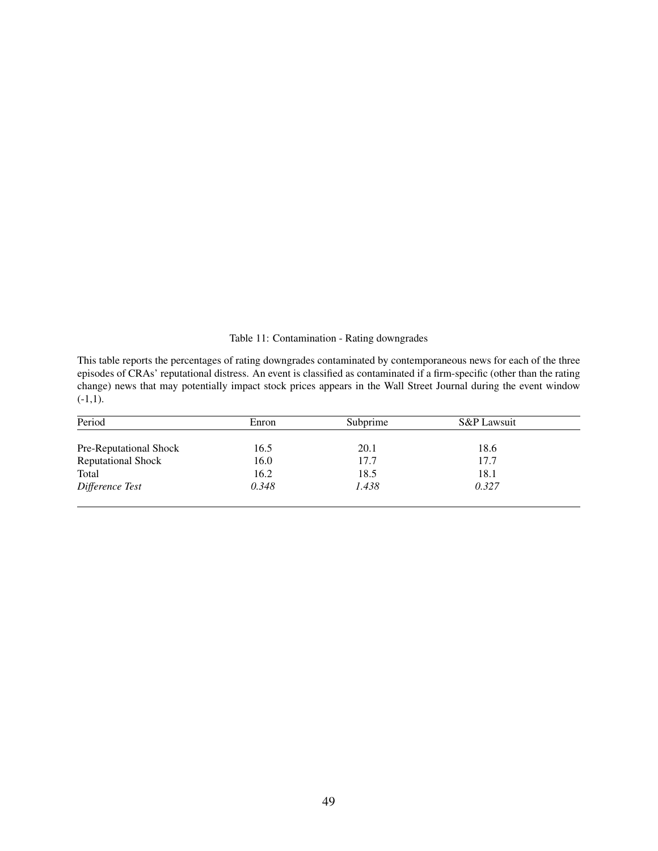Table 11: Contamination - Rating downgrades

This table reports the percentages of rating downgrades contaminated by contemporaneous news for each of the three episodes of CRAs' reputational distress. An event is classified as contaminated if a firm-specific (other than the rating change) news that may potentially impact stock prices appears in the Wall Street Journal during the event window  $(-1,1)$ .

| Period                    | Enron | Subprime | S&P Lawsuit |  |
|---------------------------|-------|----------|-------------|--|
| Pre-Reputational Shock    | 16.5  | 20.1     | 18.6        |  |
| <b>Reputational Shock</b> | 16.0  | 17.7     | 17.7        |  |
| Total                     | 16.2  | 18.5     | 18.1        |  |
| Difference Test           | 0.348 | 1.438    | 0.327       |  |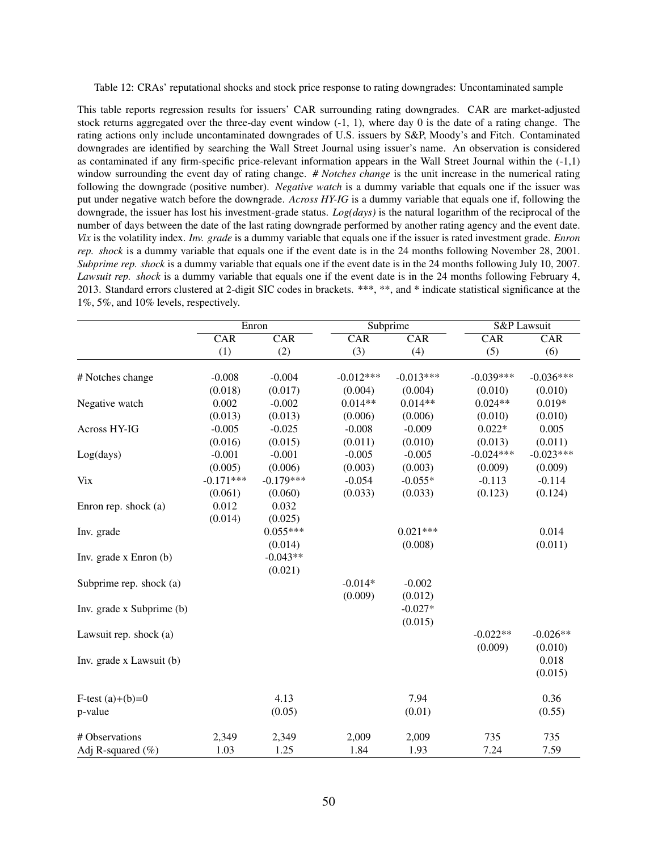Table 12: CRAs' reputational shocks and stock price response to rating downgrades: Uncontaminated sample

This table reports regression results for issuers' CAR surrounding rating downgrades. CAR are market-adjusted stock returns aggregated over the three-day event window  $(-1, 1)$ , where day 0 is the date of a rating change. The rating actions only include uncontaminated downgrades of U.S. issuers by S&P, Moody's and Fitch. Contaminated downgrades are identified by searching the Wall Street Journal using issuer's name. An observation is considered as contaminated if any firm-specific price-relevant information appears in the Wall Street Journal within the (-1,1) window surrounding the event day of rating change. *# Notches change* is the unit increase in the numerical rating following the downgrade (positive number). *Negative watch* is a dummy variable that equals one if the issuer was put under negative watch before the downgrade. *Across HY-IG* is a dummy variable that equals one if, following the downgrade, the issuer has lost his investment-grade status. *Log(days)* is the natural logarithm of the reciprocal of the number of days between the date of the last rating downgrade performed by another rating agency and the event date. *Vix* is the volatility index. *Inv. grade* is a dummy variable that equals one if the issuer is rated investment grade. *Enron rep. shock* is a dummy variable that equals one if the event date is in the 24 months following November 28, 2001. *Subprime rep. shock* is a dummy variable that equals one if the event date is in the 24 months following July 10, 2007. *Lawsuit rep. shock* is a dummy variable that equals one if the event date is in the 24 months following February 4, 2013. Standard errors clustered at 2-digit SIC codes in brackets. \*\*\*, \*\*, and \* indicate statistical significance at the 1%, 5%, and 10% levels, respectively.

|                           | Enron       |             | Subprime    |             | <b>S&amp;P</b> Lawsuit |             |
|---------------------------|-------------|-------------|-------------|-------------|------------------------|-------------|
|                           | CAR         | CAR         | CAR         | CAR         | CAR                    | CAR         |
|                           | (1)         | (2)         | (3)         | (4)         | (5)                    | (6)         |
|                           |             |             |             |             |                        |             |
| # Notches change          | $-0.008$    | $-0.004$    | $-0.012***$ | $-0.013***$ | $-0.039***$            | $-0.036***$ |
|                           | (0.018)     | (0.017)     | (0.004)     | (0.004)     | (0.010)                | (0.010)     |
| Negative watch            | 0.002       | $-0.002$    | $0.014**$   | $0.014**$   | $0.024**$              | $0.019*$    |
|                           | (0.013)     | (0.013)     | (0.006)     | (0.006)     | (0.010)                | (0.010)     |
| Across HY-IG              | $-0.005$    | $-0.025$    | $-0.008$    | $-0.009$    | $0.022*$               | 0.005       |
|                           | (0.016)     | (0.015)     | (0.011)     | (0.010)     | (0.013)                | (0.011)     |
| Log(days)                 | $-0.001$    | $-0.001$    | $-0.005$    | $-0.005$    | $-0.024***$            | $-0.023***$ |
|                           | (0.005)     | (0.006)     | (0.003)     | (0.003)     | (0.009)                | (0.009)     |
| <b>Vix</b>                | $-0.171***$ | $-0.179***$ | $-0.054$    | $-0.055*$   | $-0.113$               | $-0.114$    |
|                           | (0.061)     | (0.060)     | (0.033)     | (0.033)     | (0.123)                | (0.124)     |
| Enron rep. shock (a)      | 0.012       | 0.032       |             |             |                        |             |
|                           | (0.014)     | (0.025)     |             |             |                        |             |
| Inv. grade                |             | $0.055***$  |             | $0.021***$  |                        | 0.014       |
|                           |             | (0.014)     |             | (0.008)     |                        | (0.011)     |
| Inv. grade x Enron (b)    |             | $-0.043**$  |             |             |                        |             |
|                           |             | (0.021)     |             |             |                        |             |
| Subprime rep. shock (a)   |             |             | $-0.014*$   | $-0.002$    |                        |             |
|                           |             |             | (0.009)     | (0.012)     |                        |             |
| Inv. grade x Subprime (b) |             |             |             | $-0.027*$   |                        |             |
|                           |             |             |             | (0.015)     |                        |             |
| Lawsuit rep. shock (a)    |             |             |             |             | $-0.022**$             | $-0.026**$  |
|                           |             |             |             |             | (0.009)                | (0.010)     |
| Inv. grade x Lawsuit (b)  |             |             |             |             |                        | 0.018       |
|                           |             |             |             |             |                        | (0.015)     |
|                           |             |             |             |             |                        |             |
| F-test $(a)+(b)=0$        |             | 4.13        |             | 7.94        |                        | 0.36        |
| p-value                   |             | (0.05)      |             | (0.01)      |                        | (0.55)      |
|                           |             |             |             |             |                        |             |
| # Observations            | 2,349       | 2,349       | 2,009       | 2,009       | 735                    | 735         |
| Adj R-squared $(\% )$     | 1.03        | 1.25        | 1.84        | 1.93        | 7.24                   | 7.59        |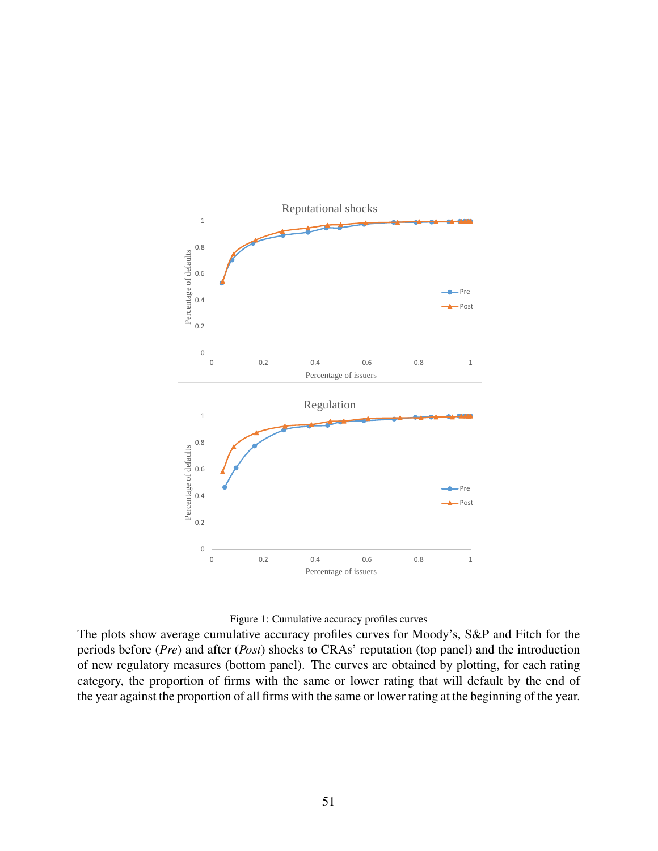

#### Figure 1: Cumulative accuracy profiles curves

The plots show average cumulative accuracy profiles curves for Moody's, S&P and Fitch for the periods before (*Pre*) and after (*Post*) shocks to CRAs' reputation (top panel) and the introduction of new regulatory measures (bottom panel). The curves are obtained by plotting, for each rating category, the proportion of firms with the same or lower rating that will default by the end of the year against the proportion of all firms with the same or lower rating at the beginning of the year.